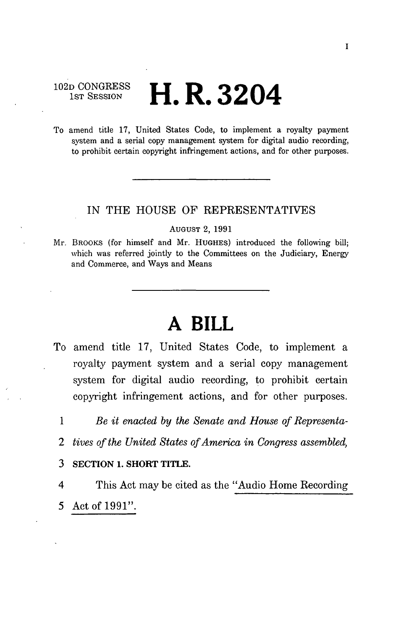102D CONGRESS<br>1st Session

# **H. R. 3204**

To amend title 17, United States Code, to implement a royalty payment system and a serial copy management system for digital audio recording, to prohibit certain copyright infringement actions, and for other purposes.

### IN THE HOUSE OF REPRESENTATIVES

AUGUST 2, 1991

Mr. BROOKS (for himself and Mr. HUGHES) introduced the following bill; which was referred jointly to the Committees on the Judiciary, Energy and Commerce, and Ways and Means

## **A BILL**

- To amend title 17, United States Code, to implement a royalty payment system and a serial copy management system for digital audio recording, to prohibit certain copyright infringement actions, and for other purposes.
	- 1 *Be it enacted by the Senate and House of Representa-*
	- *2 tives of the United States of America in Congress assembled,*
	- **3 SECTION 1. SHORT TITLE.**
	- 4 This Act may be cited as the "Audio Home Recording 5 Act of 1991".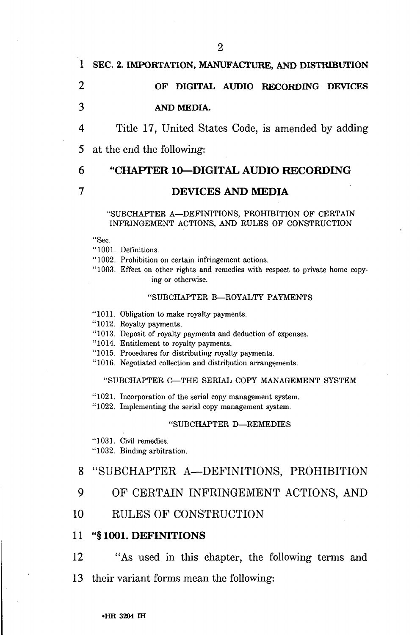## **1 SEC. 2. IMPORTATION, MANUFACTURE, AND DISTRIBUTION**

## **2 OF DIGITAL AUDIO RECORDING DEVICES 3 AND MEDIA.**

4 Title 17, United States Code, is amended by adding 5 at the end the following:

## 6 **"CHAPTER 10—DIGITAL AUDIO RECORDING**

### **7 DEVICES AND MEDIA**

#### "SUBCHAPTER A—DEFINITIONS, PROHIBITION OF CERTAIN INFRINGEMENT ACTIONS, AND RULES OF CONSTRUCTION

"Sec.

"1001. Definitions.

"1002. Prohibition on certain infringement actions.

"1003. Effect on other rights and remedies with respect to private home copying or otherwise.

#### "SUBCHAPTER B—ROYALTY PAYMENTS

"1011. Obligation to make royalty payments.

"1012. Royalty payments.

"1013. Deposit of royalty payments and deduction of expenses.

"1014. Entitlement to royalty payments.

- "1015. Procedures for distributing royalty payments.
- "1016. Negotiated collection and distribution arrangements.

#### "SUBCHAPTER C—THE SERIAL COPY MANAGEMENT SYSTEM

"1021. Incorporation of the serial copy management system.

"1022. Implementing the serial copy management system.

#### "SUBCHAPTER D—REMEDIES

"1031. Civil remedies.

"1032. Binding arbitration.

## 8 "SUBCHAPTER A—DEFINITIONS, PROHIBITION

- 9 OF CERTAIN INFRINGEMENT ACTIONS, AND
- 10 RULES OF CONSTRUCTION

#### 11 **"§1001. DEFINITIONS**

- 12 "As used in this chapter, the following terms and
- 13 their variant forms mean the following: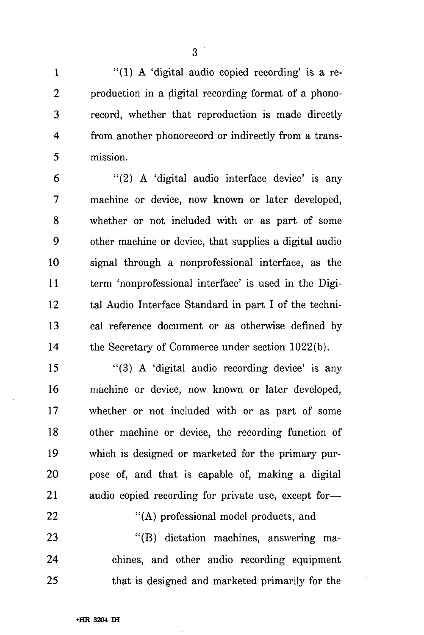1 "(1) A 'digital audio copied recording' is a re-2 production in a digital recording format of a phono-3 record, whether that reproduction is made directly 4 from another phonorecord or indirectly from a trans-5 mission.

6 "(2) A 'digital audio interface device' is any 7 machine or device, now known or later developed, 8 whether or not included with or as part of some 9 other machine or device, that supplies a digital audio 10 signal through a nonprofessional interface, as the 11 term 'nonprofessional interface' is used in the Digi-12 tal Audio Interface Standard in part I of the techni-13 cal reference document or as otherwise defined by 14 the Secretary of Commerce under section 1022(b).

15 "(3) A 'digital audio recording device' is any 16 machine or device, now known or later developed, 17 whether or not included with or as part of some 18 other machine or device, the recording function of 19 which is designed or marketed for the primary pur-20 pose of, and that is capable of, making a digital 21 audio copied recording for private use, except for—

22 "(A) professional model products, and 23 "(B) dictation machines, answering ma-24 chines, and other audio recording equipment 25 that is designed and marketed primarily for the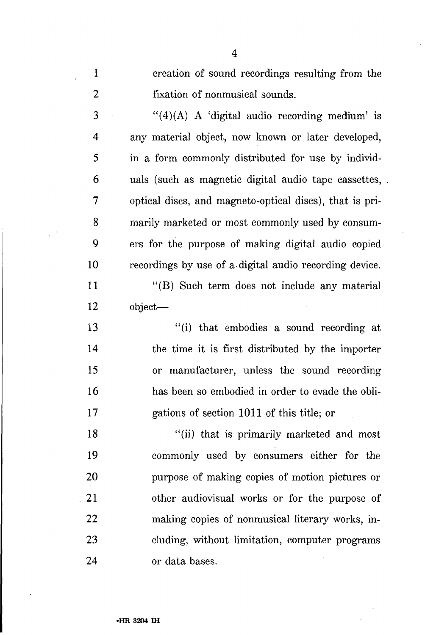1 creation of sound recordings resulting from the 2 fixation of nonmusical sounds.

 $3$  "(4)(A) A 'digital audio recording medium' is 4 any material object, now known or later developed, 5 in a form commonly distributed for use by individ-6 uals (such as magnetic digital audio tape cassettes, 7 optical discs, and magneto-optical discs), that is pri-8 marily marketed or most commonly used by consum-9 ers for the purpose of making digital audio copied 10 recordings by use of a digital audio recording device.

11 "(B) Such term does not include any material 12 object—

13 "(i) that embodies a sound recording at 14 the time it is first distributed by the importer 15 or manufacturer, unless the sound recording 16 has been so embodied in order to evade the obli-17 gations of section 1011 of this title; or

18 "(ii) that is primarily marketed and most 19 commonly used by consumers either for the 20 purpose of making copies of motion pictures or 21 other audiovisual works or for the purpose of 22 making copies of nonmusical literary works, in-23 eluding, without limitation, computer programs 24 or data bases.

4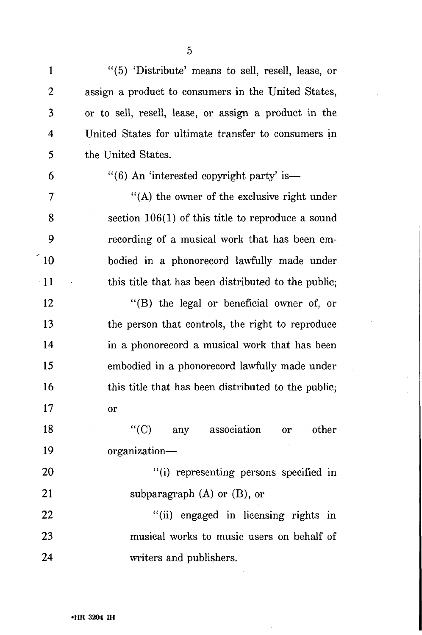1 "(5) 'Distribute' means to sell, resell, lease, or 2 assign a product to consumers in the United States, 3 or to sell, resell, lease, or assign a product in the 4 United States for ultimate transfer to consumers in 5 the United States.

## 6  $\frac{1}{6}$  (6) An 'interested copyright party' is—

7 "(A) the owner of the exclusive right under 8 section 106(1) of this title to reproduce a sound 9 recording of a musical work that has been em-10 bodied in a phonorecord lawfully made under 11 this title that has been distributed to the public;

12 "(B) the legal or beneficial owner of, or 13 the person that controls, the right to reproduce 14 in a phonorecord a musical work that has been 15 embodied in a phonorecord lawfully made under 16 this title that has been distributed to the public; 17 or

18 "(C) any association or other 19 organization—

20 "(i) representing persons specified in 21 subparagraph (A) or (B), or

22 "(ii) engaged in licensing rights in 23 musical works to music users on behalf of 24 writers and publishers.

5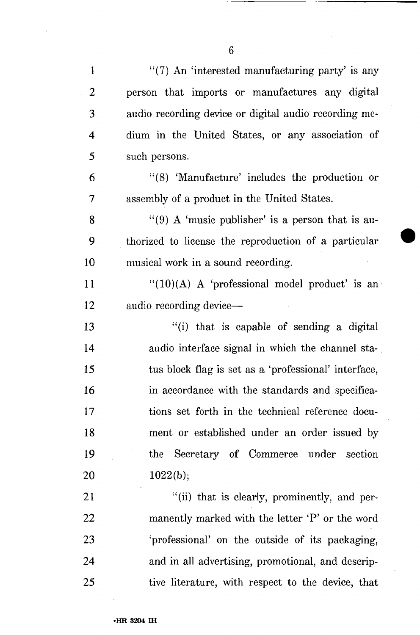| $\mathbf{1}$   | $\cdot$ (7) An 'interested manufacturing party' is any |
|----------------|--------------------------------------------------------|
| $\overline{2}$ | person that imports or manufactures any digital        |
| 3              | audio recording device or digital audio recording me-  |
| 4              | dium in the United States, or any association of       |
| 5              | such persons.                                          |
| 6              | "(8) 'Manufacture' includes the production or          |
| 7              | assembly of a product in the United States.            |
| 8              | "(9) A 'music publisher' is a person that is au-       |
| 9              | thorized to license the reproduction of a particular   |
| 10             | musical work in a sound recording.                     |
| 11             | " $(10)(A)$ A 'professional model product' is an       |
| 12             | audio recording device-                                |
| 13             | "(i) that is capable of sending a digital              |
| 14             | audio interface signal in which the channel sta-       |
| 15             | tus block flag is set as a 'professional' interface,   |
| 16             | in accordance with the standards and specifica-        |
| 17             | tions set forth in the technical reference docu-       |
| 18             | ment or established under an order issued by           |
| 19             | the Secretary of Commerce under section                |
| 20             | 1022(b);                                               |
| 21             | "(ii) that is clearly, prominently, and per-           |
| 22             | manently marked with the letter 'P' or the word        |
| 23             | 'professional' on the outside of its packaging,        |
| 24             | and in all advertising, promotional, and descrip-      |
| 25             | tive literature, with respect to the device, that      |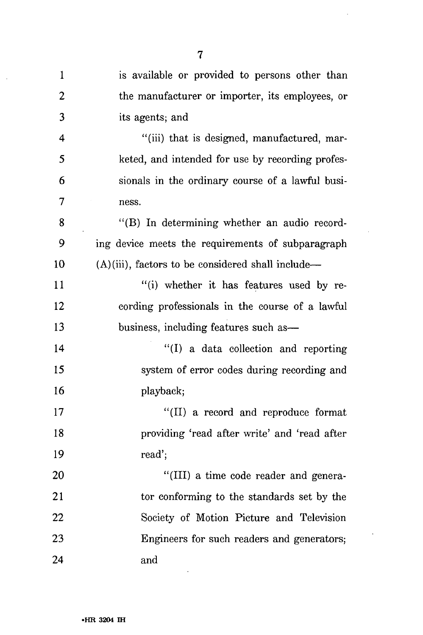| $\mathbf{1}$   | is available or provided to persons other than       |
|----------------|------------------------------------------------------|
| $\overline{2}$ | the manufacturer or importer, its employees, or      |
| 3              | its agents; and                                      |
| 4              | "(iii) that is designed, manufactured, mar-          |
| 5              | keted, and intended for use by recording profes-     |
| 6              | sionals in the ordinary course of a lawful busi-     |
| 7              | ness.                                                |
| 8              | "(B) In determining whether an audio record-         |
| 9              | ing device meets the requirements of subparagraph    |
| 10             | $(A)(iii)$ , factors to be considered shall include— |
| 11             | "(i) whether it has features used by re-             |
| 12             | cording professionals in the course of a lawful      |
| 13             | business, including features such as-                |
| 14             | "(I) a data collection and reporting                 |
| 15             | system of error codes during recording and           |
| 16             | playback;                                            |
| 17             | "(II) a record and reproduce format                  |
| 18             | providing 'read after write' and 'read after         |
| 19             | read';                                               |
| 20             | "(III) a time code reader and genera-                |
| 21             | tor conforming to the standards set by the           |
| 22             | Society of Motion Picture and Television             |
| 23             | Engineers for such readers and generators;           |
| 24             | and                                                  |

 $\overline{\phantom{a}}$ 

 $\hat{\mathcal{A}}$ 

 $\sim$   $\sim$ 

 $\sim$ 

 $\ddot{\phantom{a}}$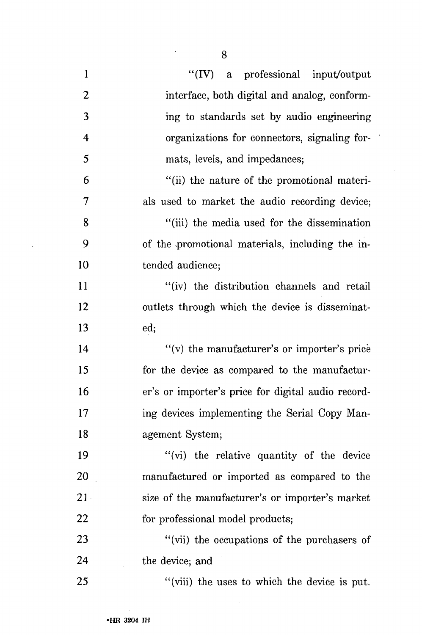| $\mathbf{1}$            | "(IV) a professional input/output                  |
|-------------------------|----------------------------------------------------|
| $\overline{2}$          | interface, both digital and analog, conform-       |
| 3                       | ing to standards set by audio engineering          |
| $\overline{\mathbf{4}}$ | organizations for connectors, signaling for-       |
| 5                       | mats, levels, and impedances;                      |
| 6                       | "(ii) the nature of the promotional materi-        |
| 7                       | als used to market the audio recording device;     |
| 8                       | "(iii) the media used for the dissemination        |
| 9                       | of the promotional materials, including the in-    |
| 10                      | tended audience;                                   |
| 11                      | "(iv) the distribution channels and retail         |
| 12                      | outlets through which the device is disseminat-    |
| 13                      | ed;                                                |
| 14                      | "(v) the manufacturer's or importer's price        |
| 15                      | for the device as compared to the manufactur-      |
| 16                      | er's or importer's price for digital audio record- |
| 17                      | ing devices implementing the Serial Copy Man-      |
| 18                      | agement System;                                    |
| 19                      | "(vi) the relative quantity of the device"         |
| 20                      | manufactured or imported as compared to the        |
| $21 -$                  | size of the manufacturer's or importer's market    |
| 22                      | for professional model products;                   |
| 23                      | "(vii) the occupations of the purchasers of        |

the device; and 24

"(viii) the uses to which the device is put.

j

8

25

 $\cdot$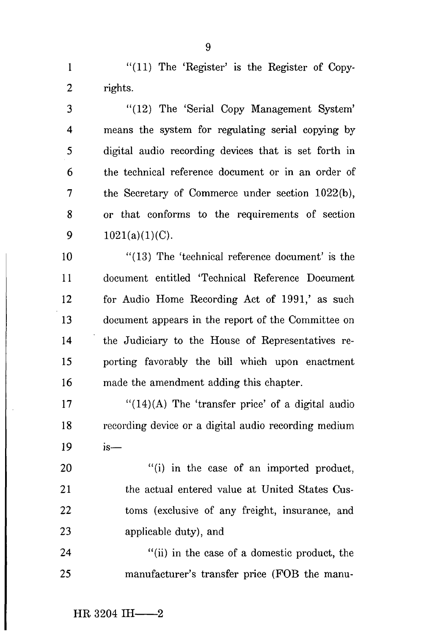1 "(11) The 'Register' is the Register of Copy-2 rights.

3 "(12) The 'Serial Copy Management System' 4 means the system for regulating serial copying by 5 digital audio recording devices that is set forth in 6 the technical reference document or in an order of 7 the Secretary of Commerce under section 1022(b), 8 or that conforms to the requirements of section 9  $1021(a)(1)(C)$ .

10 "(13) The 'technical reference document' is the 11 document entitled 'Technical Reference Document 12 for Audio Home Recording Act of 1991,' as such 13 document appears in the report of the Committee on 14 the Judiciary to the House of Representatives re-15 porting favorably the bill which upon enactment 16 made the amendment adding this chapter.

 $17$  "(14)(A) The 'transfer price' of a digital audio 18 recording device or a digital audio recording medium 19 is—

20 "(i) in the case of an imported product, 21 the actual entered value at United States Cus-22 toms (exclusive of any freight, insurance, and 23 applicable duty), and

24 "(ii) in the case of a domestic product, the 25 manufacturer's transfer price (FOB the manu-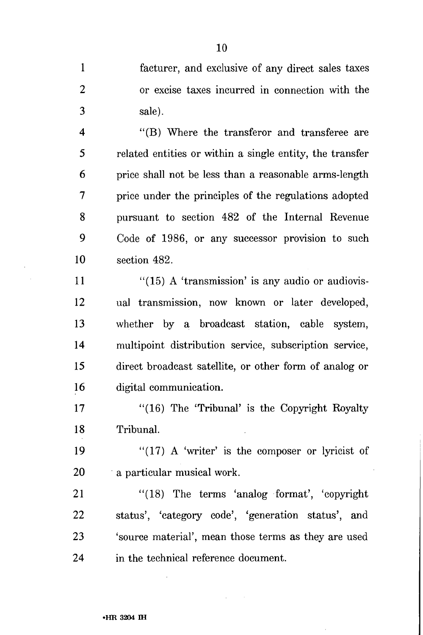1 facturer, and exclusive of any direct sales taxes 2 or excise taxes incurred in connection with the 3 sale).

4 "(B) Where the transferor and transferee are 5 related entities or within a single entity, the transfer 6 price shall not be less than a reasonable arms-length 7 price under the principles of the regulations adopted 8 pursuant to section 482 of the Internal Revenue 9 Code of 1986, or any successor provision to such 10 section 482.

 $11$  "(15) A 'transmission' is any audio or audiovis-12 ual transmission, now known or later developed, 13 whether by a broadcast station, cable system, 14 multipoint distribution service, subscription service, 15 direct broadcast satellite, or other form of analog or 16 digital communication.

17 "(16) The 'Tribunal' is the Copyright Royalty 18 Tribunal.

19  $"$ (17) A 'writer' is the composer or lyricist of 20 a particular musical work.

21 "(18) The terms 'analog format', 'copyright 22 status', 'category code', 'generation status', and 23 'source material', mean those terms as they are used 24 in the technical reference document.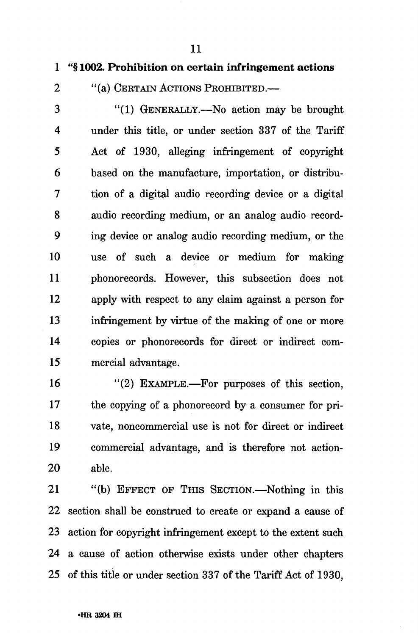1 "§ 1002. Prohibition on certain infringement actions

2 "(a) CERTAIN ACTIONS PROHIBITED.—

3 "(1) GENERALLY.—No action may be brought 4 under this title, or under section 337 of the Tariff 5 Act of 1930, alleging infringement of copyright 6 based on the manufacture, importation, or distribu-7 tion of a digital audio recording device or a digital 8 audio recording medium, or an analog audio record-9 ing device or analog audio recording medium, or the 10 use of such a device or medium for making 11 phonorecords. However, this subsection does not 12 apply with respect to any claim against a person for 13 infringement by virtue of the making of one or more 14 copies or phonorecords for direct or indirect com-15 mercial advantage.

16 "(2) EXAMPLE.—For purposes of this section, 17 the copying of a phonoreeord by a consumer for pri-18 vate, noncommercial use is not for direct or indirect 19 commercial advantage, and is therefore not action-20 able.

21 "(b) EFFECT OF Tins SECTION.—Nothing in this 22 section shall be construed to create or expand a cause of 23 action for copyright infringement except to the extent such 24 a cause of action otherwise exists under other chapters 25 of this title or under section 337 of the Tariff Act of 1930,

11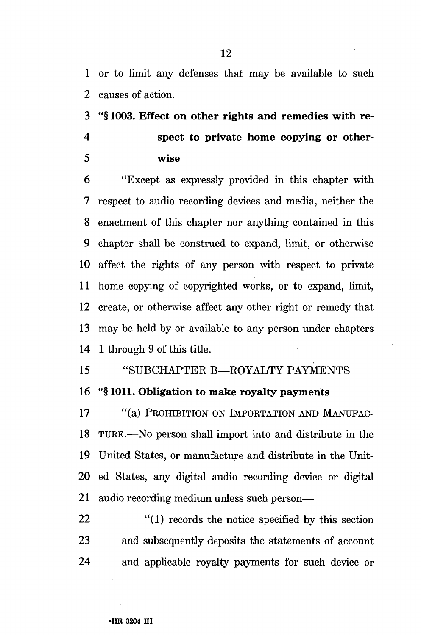1 or to limit any defenses that may be available to such 2 causes of action.

3 **"§1003. Effect on other rights and remedies with re-**

- 
- 
- **4 spect to private home copying or other-5 wise**

**6** "Except as expressly provided in this chapter with 7 respect to audio recording devices and media, neither the 8 enactment of this chapter nor anything contained in this 9 chapter shall be construed to expand, limit, or otherwise 10 affect the rights of any person with respect to private 11 home copying of copyrighted works, or to expand, limit, 12 create, or otherwise affect any other right or remedy that 13 may be held by or available to any person under chapters 14 1 through 9 of this title.

- 15 "SUBCHAPTER B—ROYALTY PAYMENTS
- 16 **"§ 1011. Obligation to make royalty payments**

**17** "(a) PROHIBITION ON IMPORTATION AND MANUFAC-18 TURE.—No person shall import into and distribute in the 19 United States, or manufacture and distribute in the Unit-20 ed States, any digital audio recording device or digital 21 audio recording medium unless such person—

22 "(1) records the notice specified by this section 23 and subsequently deposits the statements of account 24 and applicable royalty payments for such device or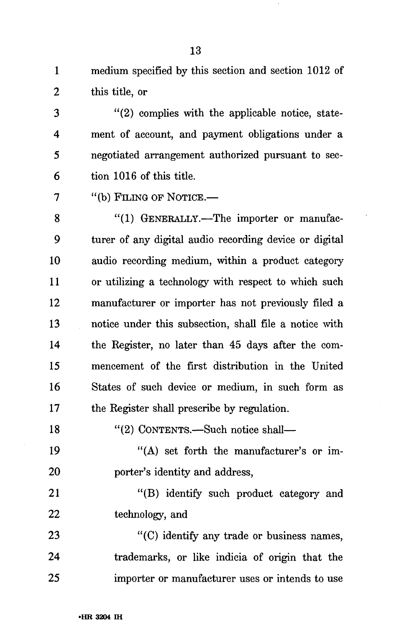1 medium specified by this section and section 1012 of 2 this title, or

3 "(2) complies with the applicable notice, state-4 ment of account, and payment obligations under a 5 negotiated arrangement authorized pursuant to sec-6 tion 1016 of this title.

7 "(b) FILING OP NOTICE.—

8 "(1) GENERALLY.—The importer or manufac-9 turer of any digital audio recording device or digital 10 audio recording medium, within a product category 11 or utilizing a technology with respect to which such 12 manufacturer or importer has not previously filed a 13 notice under this subsection, shall file a notice with 14 the Register, no later than 45 days after the com-15 mencement of the first distribution in the United 16 States of such device or medium, in such form as 17 the Register shall prescribe by regulation.

18 "(2) CONTENTS.—Such notice shall—

19 "(A) set forth the manufacturer's or im-20 porter's identity and address,

21 "(B) identify such product category and 22 technology, and

23 "(C) identify any trade or business names, 24 trademarks, or like indicia of origin that the 25 importer or manufacturer uses or intends to use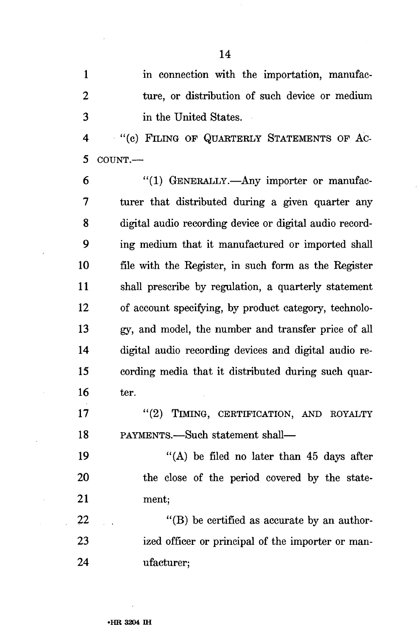1 in connection with the importation, manufac-2 ture, or distribution of such device or medium 3 in the United States.

4 "(c) FILING OP QUARTERLY STATEMENTS OF AC-5 COUNT.—

6 "(1) GENERALLY.—Any importer or manufac-7 turer that distributed during a given quarter any 8 digital audio recording device or digital audio record-9 ing medium that it manufactured or imported shall 10 file with the Register, in such form as the Register 11 shall prescribe by regulation, a quarterly statement 12 of account specifying, by product category, technolo-13 *gy,* and model, the number and transfer price of all 14 digital audio recording devices and digital audio re-15 cording media that it distributed during such quar-16 ter.

17 "(2) TIMING, CERTIFICATION, AND ROYALTY 18 PAYMENTS.—Such statement shall—

19  $((A)$  be filed no later than 45 days after 20 the close of the period covered by the state-21 ment;

 $22$  "(B) be certified as accurate by an author-23 ized officer or principal of the importer or man-24 ufacturer;

14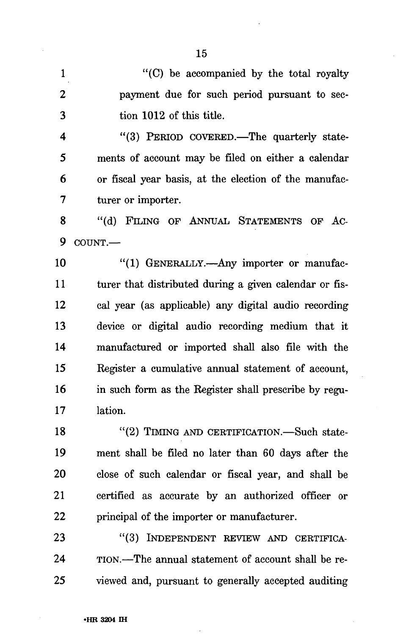1 "(C) be accompanied by the total royalty 2 payment due for such period pursuant to sec-3 tion 1012 of this title.

4 "(3) PERIOD COVERED.—The quarterly state-5 ments of account may be filed on either a calendar 6 or fiscal year basis, at the election of the manufac-7 turer or importer.

8 "(d) FILING OF ANNUAL STATEMENTS OF AC-9 COUNT.—

10 "(1) GENERALLY.—Any importer or manufac-11 turer that distributed during a given calendar or fis-12 cal year (as applicable) any digital audio recording 13 device or digital audio recording medium that it 14 manufactured or imported shall also file with the 15 Register a cumulative annual statement of account, 16 in such form as the Register shall prescribe by regu-17 lation.

18 "(2) TIMING AND CERTIFICATION.—Such state-19 ment shall be filed no later than 60 days after the 20 close of such calendar or fiscal year, and shall be 21 certified as accurate by an authorized officer or 22 principal of the importer or manufacturer.

23 "(3) INDEPENDENT REVIEW AND CERTIFICA-24 TION.—The annual statement of account shall be re-25 viewed and, pursuant to generally accepted auditing

15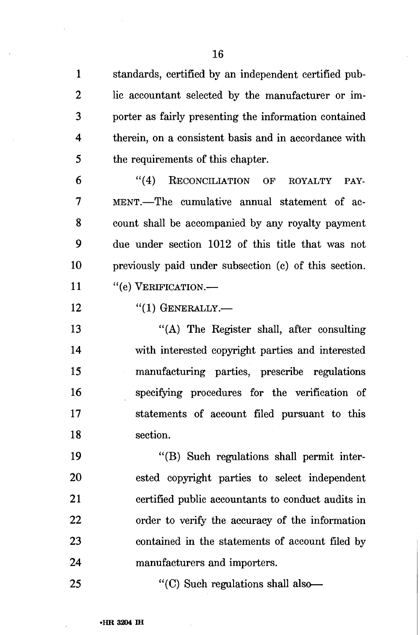1 standards, certified by an independent certified pub-2 lie accountant selected by the manufacturer or im-3 porter as fairly presenting the information contained 4 therein, on a consistent basis and in accordance with 5 the requirements of this chapter.

6 "(4) RECONCILIATION OF ROYALTY PAY-7 MENT.—The cumulative annual statement of ac-8 count shall be accompanied by any royalty payment 9 due under section 1012 of this title that was not 10 previously paid under subsection (c) of this section. 11 "(e) VERIFICATION.—

12 "(1) GENERALLY.—

13 "(A) The Register shall, after consulting 14 with interested copyright parties and interested 15 manufacturing parties, prescribe regulations 16 specifying procedures for the verification of 17 statements of account filed pursuant to this 18 section.

19 "(B) Such regulations shall permit inter-20 ested copyright parties to select independent 21 certified public accountants to conduct audits in 22 order to verify the accuracy of the information 23 contained in the statements of account filed by 24 manufacturers and importers.

25 "(C) Such regulations shall also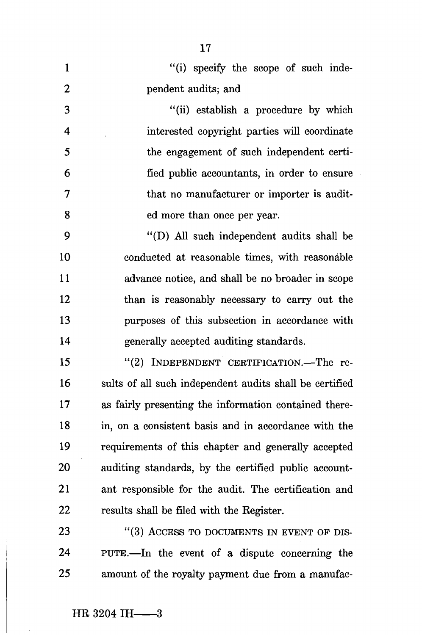| $\mathbf{1}$            | "(i) specify the scope of such inde-                    |
|-------------------------|---------------------------------------------------------|
| $\boldsymbol{2}$        | pendent audits; and                                     |
| 3                       | "(ii) establish a procedure by which                    |
| $\overline{\mathbf{4}}$ | interested copyright parties will coordinate            |
| 5                       | the engagement of such independent certi-               |
| 6                       | fied public accountants, in order to ensure             |
| $\overline{7}$          | that no manufacturer or importer is audit-              |
| 8                       | ed more than once per year.                             |
| 9                       | "(D) All such independent audits shall be               |
| 10                      | conducted at reasonable times, with reasonable          |
| 11                      | advance notice, and shall be no broader in scope        |
| 12                      | than is reasonably necessary to carry out the           |
| 13                      | purposes of this subsection in accordance with          |
| 14                      | generally accepted auditing standards.                  |
| 15                      | "(2) INDEPENDENT CERTIFICATION.—The re-                 |
| 16                      | sults of all such independent audits shall be certified |
| 17                      | as fairly presenting the information contained there-   |
| 18                      | in, on a consistent basis and in accordance with the    |
| 19                      | requirements of this chapter and generally accepted     |
| 20                      | auditing standards, by the certified public account-    |
| 21                      | ant responsible for the audit. The certification and    |
| 22                      | results shall be filed with the Register.               |
| 23                      | "(3) ACCESS TO DOCUMENTS IN EVENT OF DIS-               |
| 24                      | PUTE.—In the event of a dispute concerning the          |
| 25                      | amount of the royalty payment due from a manufac-       |

17

 $\bar{z}$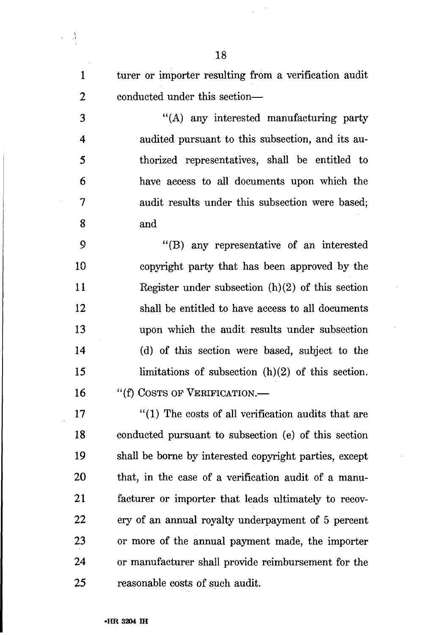1 turer or importer resulting from a verification audit 2 conducted under this section—

3 "(A) any interested manufacturing party 4 audited pursuant to this subsection, and its au-5 thorized representatives, shall be entitled to 6 have access to all documents upon which the 7 audit results under this subsection were based; 8 and

9 "(B) any representative of an interested 10 copyright party that has been approved by the 11 Register under subsection (h)(2) of this section 12 shall be entitled to have access to all documents 13 upon which the audit results under subsection 14 (d) of this section were based, subject to the 15 limitations of subsection (h)(2) of this section. 16 "(f) COSTS OF VERIFICATION.—

17 "(1) The costs of all verification audits that are 18 conducted pursuant to subsection (e) of this section 19 shall be borne by interested copyright parties, except 20 that, in the case of a verification audit of a manu-21 facturer or importer that leads ultimately to recov-22 ery of an annual royalty underpayment of 5 percent 23 or more of the annual payment made, the importer 24 or manufacturer shall provide reimbursement for the 25 reasonable costs of such audit.

 $\frac{1}{\sqrt{t}}$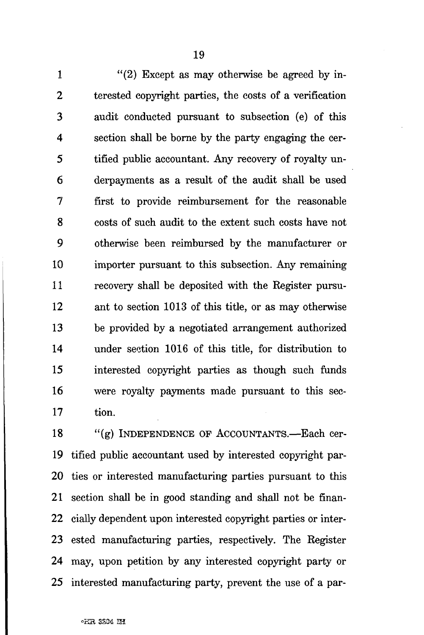1  $(2)$  Except as may otherwise be agreed by in-2 terested copyright parties, the costs of a verification 3 audit conducted pursuant to subsection (e) of this 4 section shall be borne by the party engaging the cer-5 tified public accountant. Any recovery of royalty un-6 derpayments as a result of the audit shall be used 7 first to provide reimbursement for the reasonable 8 costs of such audit to the extent such costs have not 9 otherwise been reimbursed by the manufacturer or 10 importer pursuant to this subsection. Any remaining 11 recovery shall be deposited with the Register pursu-12 ant to section 1013 of this title, or as may otherwise 13 be provided by a negotiated arrangement authorized 14 under section 1016 of this title, for distribution to 15 interested copyright parties as though such funds 16 were royalty payments made pursuant to this sec-17 tion.

18 "(g) INDEPENDENCE OF ACCOUNTANTS.—Each cer-19 tified public accountant used by interested copyright par-20 ties or interested manufacturing parties pursuant to this 21 section shall be in good standing and shall not be finan-22 cially dependent upon interested copyright parties or inter-23 ested manufacturing parties, respectively. The Register 24 may, upon petition by any interested copyright party or 25 interested manufacturing party, prevent the use of a par-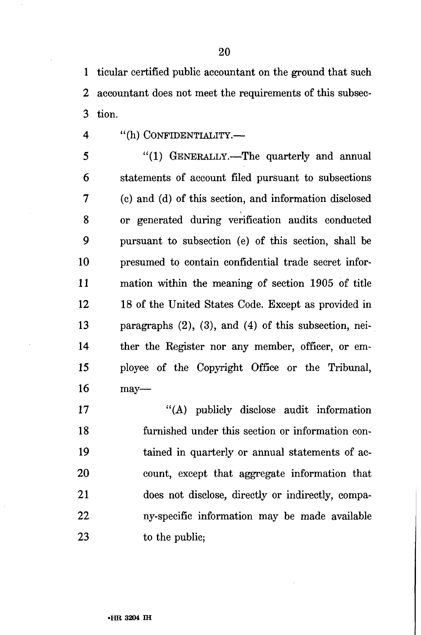1 ticular certified public accountant on the ground that such 2 accountant does not meet the requirements of this subsec-3 tion.

4 "(h) CONFIDENTIALITY.—

5 "(1) GENERALLY.—The quarterly and annual 6 statements of account filed pursuant to subsections 7 (c) and (d) of this section, and information disclosed 8 or generated during verification audits conducted 9 pursuant to subsection (e) of this section, shall be 10 presumed to contain confidential trade secret infor-11 mation within the meaning of section 1905 of title 12 18 of the United States Code. Except as provided in 13 paragraphs (2), (3), and (4) of this subsection, nei-14 ther the Register nor any member, officer, or em-15 ployee of the Copyright Office or the Tribunal, 16 may—

17 "(A) publicly disclose audit information 18 furnished under this section or information con-19 tained in quarterly or annual statements of ac-20 count, except that aggregate information that 21 does not disclose, directly or indirectly, compa-22 ny-specific information may be made available 23 to the public;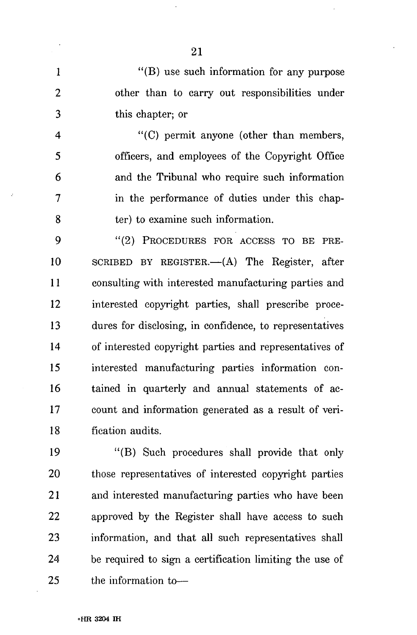1 "(B) use such information for any purpose 2 other than to carry out responsibilities under 3 this chapter; or

4 "(C) permit anyone (other than members, 5 officers, and employees of the Copyright Office 6 and the Tribunal who require such information 7 in the performance of duties under this chap-8 ter) to examine such information.

9 "(2) PROCEDURES FOR ACCESS TO BE PRE-10 SCRIBED BY REGISTER.—(A) The Register, after 11 consulting with interested manufacturing parties and 12 interested copyright parties, shall prescribe proce-13 dures for disclosing, in confidence, to representatives 14 of interested copyright parties and representatives of 15 interested manufacturing parties information con-16 tained in quarterly and annual statements of ac-17 count and information generated as a result of veri-18 fication audits.

19 "(B) Such procedures shall provide that only 20 those representatives of interested copyright parties 21 and interested manufacturing parties who have been 22 approved by the Register shall have access to such 23 information, and that all such representatives shall 24 be required to sign a certification limiting the use of 25 the information to—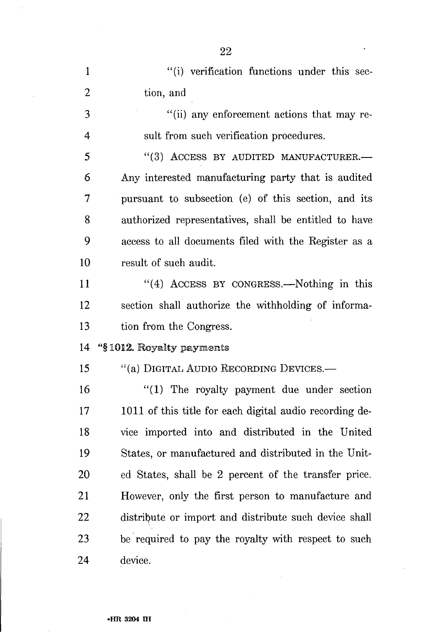1 "(i) verification functions under this sec-2 tion, and 3 "(ii) any enforcement actions that may re-4 suit from such verification procedures. 5 "(3) ACCESS BY AUDITED MANUFACTURER.— 6 Any interested manufacturing party that is audited 7 pursuant to subsection (e) of this section, and its 8 authorized representatives, shall be entitled to have 9 access to all documents filed with the Register as a 10 result of such audit. 11 "(4) ACCESS BY CONGRESS.—Nothing in this 12 section shall authorize the withholding of informa-13 tion from the Congress. 14 "§ 1012. Royalty payments 15 "(a) DIGITAL AUDIO RECORDING DEVICES.— 16 "(1) The royalty payment due under section 17 1011 of this title for each digital audio recording de-18 vice imported into and distributed in the United 19 States, or manufactured and distributed in the Unit-20 ed States, shall be 2 percent of the transfer price. 21 However, only the first person to manufacture and 22 distribute or import and distribute such device shall 23 be required to pay the royalty with respect to such 24 device.

22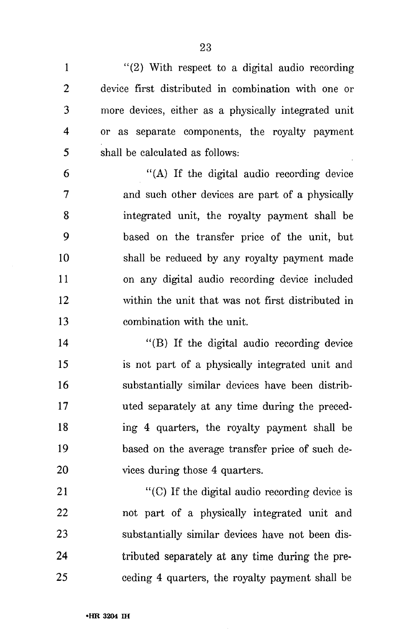1 "(2) With respect to a digital audio recording 2 device first distributed in combination with one or 3 more devices, either as a physically integrated unit 4 or as separate components, the royalty payment 5 shall be calculated as follows:

6 "(A) If the digital audio recording device 7 and such other devices are part of a physically 8 integrated unit, the royalty payment shall be 9 based on the transfer price of the unit, but 10 shall be reduced by any royalty payment made 11 on any digital audio recording device included 12 within the unit that was not first distributed in 13 combination with the unit.

14 "(B) If the digital audio recording device 15 is not part of a physically integrated unit and 16 substantially similar devices have been distrib-17 uted separately at any time during the preced-18 ing 4 quarters, the royalty payment shall be 19 based on the average transfer price of such de-20 vices during those 4 quarters.

21 "(C) If the digital audio recording device is 22 not part of a physically integrated unit and 23 substantially similar devices have not been dis-24 tributed separately at any time during the pre-25 ceding 4 quarters, the royalty payment shall be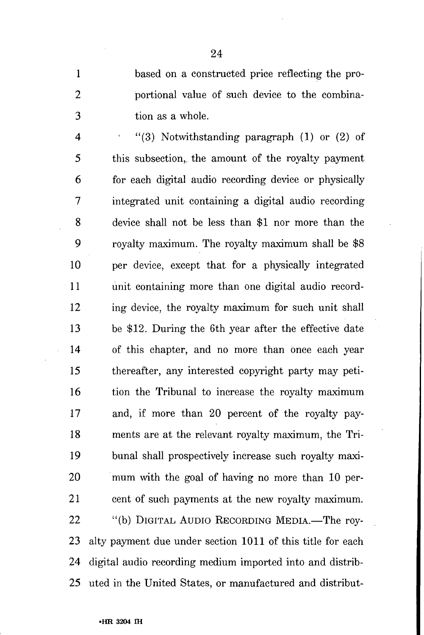1 based on a constructed price reflecting the pro-2 portional value of such device to the combina-3 tion as a whole.

4  $(3)$  Notwithstanding paragraph (1) or (2) of 5 this subsection,, the amount of the royalty payment 6 for each digital audio recording device or physically 7 integrated unit containing a digital audio recording 8 device shall not be less than \$1 nor more than the 9 royalty maximum. The royalty maximum shall be \$8 10 per device, except that for a physically integrated 11 unit containing more than one digital audio record-12 ing device, the royalty maximum for such unit shall 13 be \$12. During the 6th year after the effective date 14 of this chapter, and no more than once each year 15 thereafter, any interested copyright party may peti-16 tion the Tribunal to increase the royalty maximum 17 and, if more than 20 percent of the royalty pay-18 ments are at the relevant royalty maximum, the Tri-19 bunal shall prospectively increase such royalty maxi-20 mum with the goal of having no more than 10 per-21 cent of such payments at the new royalty maximum. 22 "(b) DIGITAL AUDIO RECORDING MEDIA.—The roy-23 alty payment due under section 1011 of this title for each 24 digital audio recording medium imported into and distrib-25 uted in the United States, or manufactured and distribut-

24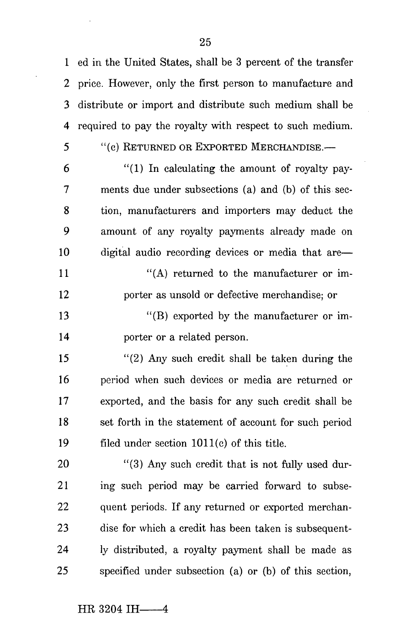1 ed in the United States, shall be 3 percent of the transfer 2 price. However, only the first person to manufacture and 3 distribute or import and distribute such medium shall be 4 required to pay the royalty with respect to such medium.

- 
- 5 "(c) RETURNED OR EXPORTED MERCHANDISE.—

 $6$  "(1) In calculating the amount of royalty pay-7 ments due under subsections (a) and (b) of this sec-8 tion, manufacturers and importers may deduct the 9 amount of any royalty payments already made on 10 digital audio recording devices or media that are—  $''(A)$  returned to the manufacturer or im-12 porter as unsold or defective merchandise; or

13 "(B) exported by the manufacturer or im-14 porter or a related person.

15 "(2) Any such credit shall be taken during the 16 period when such devices or media are returned or 17 exported, and the basis for any such credit shall be 18 set forth in the statement of account for such period 19 filed under section 1011(c) of this title.

20 "(3) Any such credit that is not fully used dur-21 ing such period may be carried forward to subse-22 quent periods. If any returned or exported merchan-23 dise for which a credit has been taken is subsequent-24 ly distributed, a royalty payment shall be made as 25 specified under subsection (a) or (b) of this section,

 $HR$  3204 IH  $-4$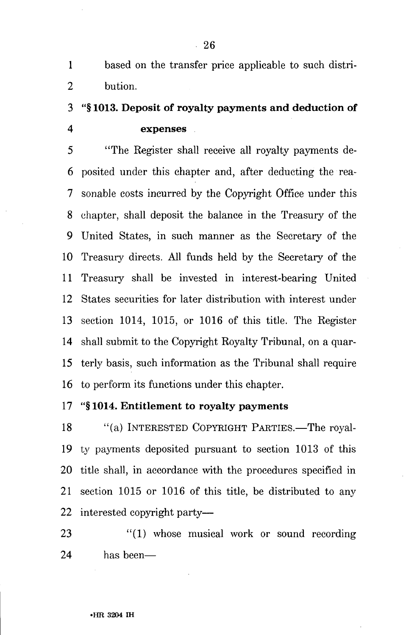1 based on the transfer price applicable to such distri-2 bution.

## 3 **"§ 1013. Deposit of royalty payments and deduction of 4 expenses**

5 "The Register shall receive all royalty payments de-6 posited under this chapter and, after deducting the rea-7 sonable costs incurred by the Copyright Office under this 8 chapter, shall deposit the balance in the Treasury of the 9 United States, in such manner as the Secretary of the 10 Treasury directs. All funds held by the Secretary of the 11 Treasury shall be invested in interest-bearing United 12 States securities for later distribution with interest under 13 section 1014, 1015, or 1016 of this title. The Register 14 shall submit to the Copyright Royalty Tribunal, on a quar-15 terly basis, such information as the Tribunal shall require 16 to perform its functions under this chapter.

## 17 **"§ 1014. Entitlement to royalty payments**

18 "(a) INTERESTED COPYRIGHT PARTIES.—The royal-**19** ty payments deposited pursuant to section 1013 of this 20 title shall, in accordance with the procedures specified in 21 section 1015 or 1016 of this title, be distributed to any 22 interested copyright party—

23 "(1) whose musical work or sound recording 24 has been—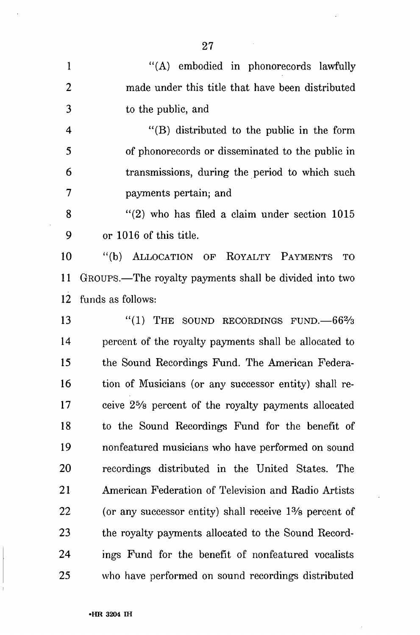1 "(A) embodied in phonorecords lawfully 2 made under this title that have been distributed 3 to the public, and 4 "(B) distributed to the public in the form 5 of phonorecords or disseminated to the public in 6 transmissions, during the period to which such 7 payments pertain; and 8 "(2) who has filed a claim under section 1015 9 or 1016 of this title. 10 "(b) ALLOCATION OP ROYALTY PAYMENTS TO 11 GROUPS.—The royalty payments shall be divided into two 12 funds as follows: 13 "(1) THE SOUND RECORDINGS FUND.  $-66\frac{2}{3}$ 14 percent of the royalty payments shall be allocated to 15 the Sound Recordings Fund. The American Federa-16 tion of Musicians (or any successor entity) shall re-17 ceive 2<sup>5</sup> /s percent of the royalty payments allocated 18 to the Sound Recordings Fund for the benefit of 19 nonfeatured musicians who have performed on sound 20 recordings distributed in the United States. The 21 American Federation of Television and Radio Artists 22 (or any successor entity) shall receive 1% percent of 23 the royalty payments allocated to the Sound Record-24 ings Fund for the benefit of nonfeatured vocalists 25 who have performed on sound recordings distributed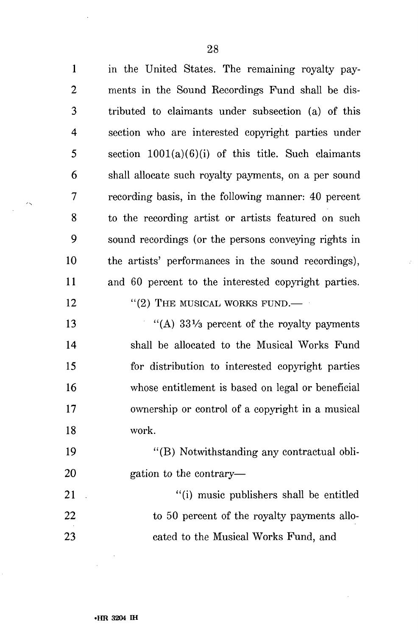1 in the United States. The remaining royalty pay-2 ments in the Sound Recordings Fund shall be dis-3 tributed to claimants under subsection (a) of this 4 section who are interested copyright parties under 5 section 1001(a)(6)(i) of this title. Such claimants 6 shall allocate such royalty payments, on a per sound 7 recording basis, in the following manner: 40 percent 8 to the recording artist or artists featured on such 9 sound recordings (or the persons conveying rights in 10 the artists' performances in the sound recordings), 11 and 60 percent to the interested copyright parties. 12 "(2) THE MUSICAL WORKS FUND.— 13  $\frac{13}{2}$   $\frac{13}{2}$   $\frac{33\frac{1}{3}}{2}$  percent of the royalty payments

14 shall be allocated to the Musical Works Fund 15 for distribution to interested copyright parties 16 whose entitlement is based on legal or beneficial 17 ownership or control of a copyright in a musical 18 work.

19 "(B) Notwithstanding any contractual obli-20 gation to the contrary—

21 (i) music publishers shall be entitled 22 to 50 percent of the royalty payments allo-23 cated to the Musical Works Fund, and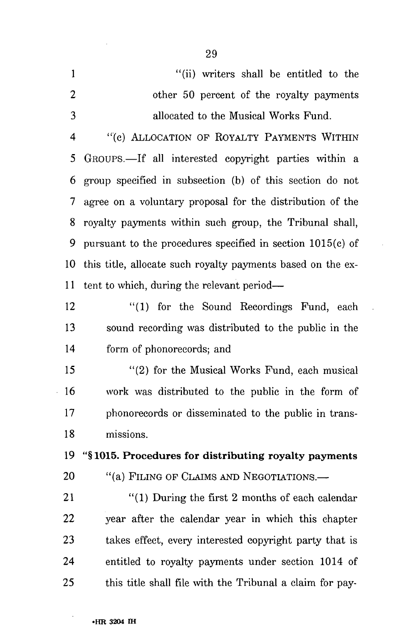|                | "(ii) writers shall be entitled to the   |
|----------------|------------------------------------------|
| $\overline{2}$ | other 50 percent of the royalty payments |
| $\mathcal{R}$  | allocated to the Musical Works Fund.     |

4 "(c) ALLOCATION OP ROYALTY PAYMENTS WITHIN 5 GROUPS.—If all interested copyright parties within a 6 group specified in subsection (b) of this section do not 7 agree on a voluntary proposal for the distribution of the 8 royalty payments within such group, the Tribunal shall, 9 pursuant to the procedures specified in section 1015(c) of 10 this title, allocate such royalty payments based on the ex-11 tent to which, during the relevant period—

12 "(1) for the Sound Recordings Fund, each 13 sound recording was distributed to the public in the 14 form of phonorecords; and

15 "(2) for the Musical Works Fund, each musical 16 work was distributed to the public in the form of 17 phonorecords or disseminated to the public in trans-18 missions.

**19 "§1015. Procedures for distributing royalty payments**  20 "(a) FILING OF CLAIMS AND NEGOTIATIONS.—

21 "(1) During the first 2 months of each calendar 22 year after the calendar year in which this chapter 23 takes effect, every interested copyright party that is 24 entitled to royalty payments under section 1014 of 25 this title shall file with the Tribunal a claim for pay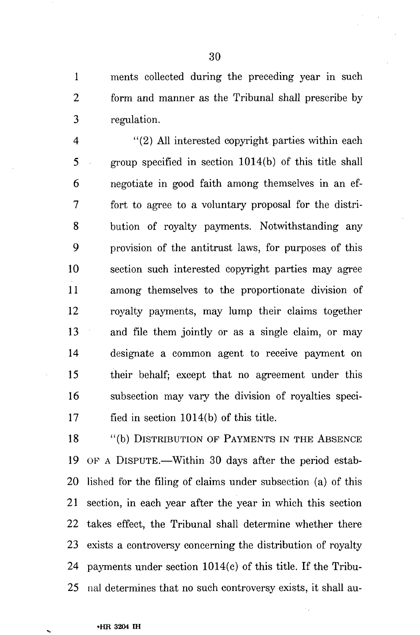1 ments collected during the preceding year in such 2 form and manner as the Tribunal shall prescribe by 3 regulation.

4 "(2) All interested copyright parties within each 5 group specified in section 1014(b) of this title shall 6 negotiate in good faith among themselves in an ef-7 fort to agree to a voluntary proposal for the distri-8 bution of royalty payments. Notwithstanding any 9 provision of the antitrust laws, for purposes of this 10 section such interested copyright parties may agree 11 among themselves to the proportionate division of 12 royalty payments, may lump their claims together 13 and file them jointly or as a single claim, or may 14 designate a common agent to receive payment on 15 their behalf; except that no agreement under this 16 subsection may vary the division of royalties speci-17 fied in section 1014(b) of this title.

18 "(b) DISTRIBUTION OF PAYMENTS IN THE ABSENCE 19 OP A DISPUTE.—Within 30 days after the period estab-20 lished for the filing of claims under subsection (a) of this 21 section, in each year after the year in which this section 22 takes effect, the Tribunal shall determine whether there 23 exists a controversy concerning the distribution of royalty 24 payments under section 1014(c) of this title. If the Tribu-25 nal determines that no such controversy exists, it shall au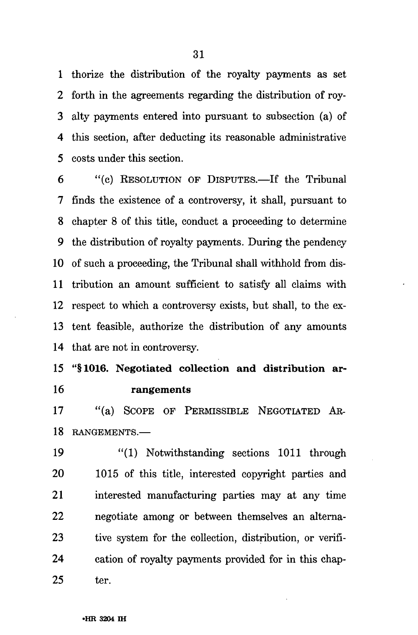1 thorize the distribution of the royalty payments as set 2 forth in the agreements regarding the distribution of roy-3 alty payments entered into pursuant to subsection (a) of 4 this section, after deducting its reasonable administrative 5 costs under this section.

6 "(c) RESOLUTION OF DISPUTES.—If the Tribunal 7 finds the existence of a controversy, it shall, pursuant to 8 chapter 8 of this title, conduct a proceeding to determine 9 the distribution of royalty payments. During the pendency 10 of such a proceeding, the Tribunal shall withhold from dis-11 tribution an amount sufficient to satisfy all claims with 12 respect to which a controversy exists, but shall, to the ex-13 tent feasible, authorize the distribution of any amounts 14 that are not in controversy.

15 "§1016. Negotiated collection and distribution ar-16 rangements

17 "(a) SCOPE OF PERMISSIBLE NEGOTIATED AR-18 RANGEMENTS.—

19 "(1) Notwithstanding sections 1011 through 20 1015 of this title, interested copyright parties and 21 interested manufacturing parties may at any time 22 negotiate among or between themselves an alterna-23 tive system for the collection, distribution, or verifi-24 cation of royalty payments provided for in this chap-25 ter.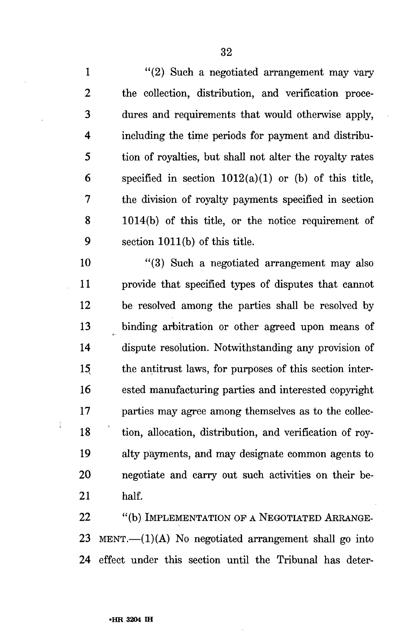1 "(2) Such a negotiated arrangement may vary 2 the collection, distribution, and verification proce-3 dures and requirements that would otherwise apply, 4 including the time periods for payment and distribu-5 tion of royalties, but shall not alter the royalty rates 6 specified in section  $1012(a)(1)$  or (b) of this title, 7 the division of royalty payments specified in section 8 1014(b) of this title, or the notice requirement of 9 section 1011(b) of this title.

10 "(3) Such a negotiated arrangement may also 11 provide that specified types of disputes that cannot 12 be resolved among the parties shall be resolved by 13 binding arbitration or other agreed upon means of 14 dispute resolution. Notwithstanding any provision of 15 the antitrust laws, for purposes of this section inter-16 ested manufacturing parties and interested copyright 17 parties may agree among themselves as to the collec-18 tion, allocation, distribution, and verification of roy-19 alty payments, and may designate common agents to 20 negotiate and carry out such activities on their be-21 half.

22 "(b) IMPLEMENTATION OF A NEGOTIATED ARRANGE-23 MENT.— $(1)(A)$  No negotiated arrangement shall go into 24 effect under this section until the Tribunal has deter-

 $\vdots$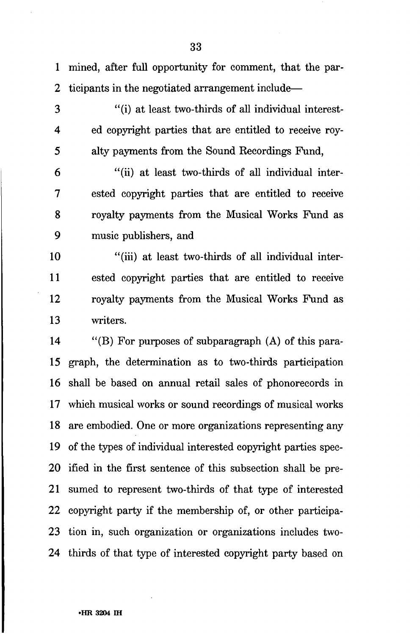1 mined, after full opportunity for comment, that the par-2 ticipants in the negotiated arrangement include—

- 
- 

3 "(i) at least two-thirds of all individual interest-4 ed copyright parties that are entitled to receive roy-5 alty payments from the Sound Recordings Fund,

6 "(ii) at least two-thirds of all individual inter-7 ested copyright parties that are entitled to receive 8 royalty payments from the Musical Works Fund as 9 music publishers, and

10 "(iii) at least two-thirds of all individual inter-11 ested copyright parties that are entitled to receive 12 royalty payments from the Musical Works Fund as 13 writers.

14 "(B) For purposes of subparagraph (A) of this para-15 graph, the determination as to two-thirds participation 16 shall be based on annual retail sales of phonorecords in 17 which musical works or sound recordings of musical works 18 are embodied. One or more organizations representing any 19 of the types of individual interested copyright parties spec-20 ified in the first sentence of this subsection shall be pre-21 sumed to represent two-thirds of that type of interested 22 copyright party if the membership of, or other participa-23 tion in, such organization or organizations includes two-24 thirds of that type of interested copyright party based on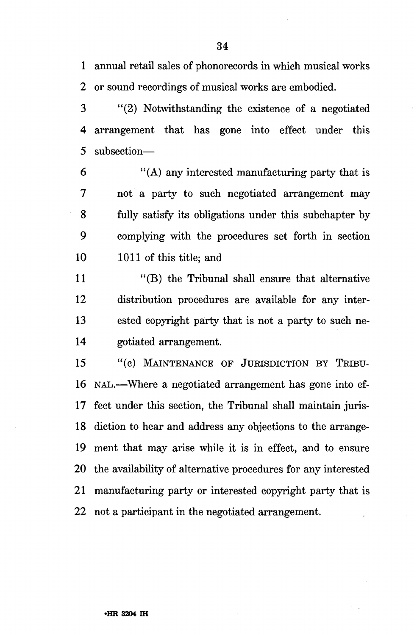1 annual retail sales of phonorecords in which musical works 2 or sound recordings of musical works are embodied.

3 "(2) Notwithstanding the existence of a negotiated 4 arrangement that has gone into effect under this 5 subsection—

6 "(A) any interested manufacturing party that is 7 not a party to such negotiated arrangement may 8 fully satisfy its obligations under this subchapter by 9 complying with the procedures set forth in section 10 1011 of this title; and

11 "(B) the Tribunal shall ensure that alternative 12 distribution procedures are available for any inter-13 ested copyright party that is not a party to such ne-14 gotiated arrangement.

15 "(c) MAINTENANCE OF JURISDICTION BY TRIBU-16 NAL.—Where a negotiated arrangement has gone into ef-17 feet under this section, the Tribunal shall maintain juris-18 diction to hear and address any objections to the arrange-19 ment that may arise while it is in effect, and to ensure 20 the availability of alternative procedures for any interested 21 manufacturing party or interested copyright party that is 22 not a participant in the negotiated arrangement.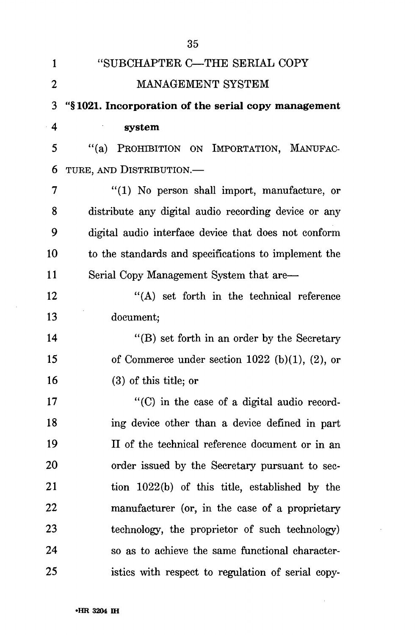| 1                | "SUBCHAPTER C-THE SERIAL COPY                                 |
|------------------|---------------------------------------------------------------|
| $\boldsymbol{2}$ | MANAGEMENT SYSTEM                                             |
| 3                | "§1021. Incorporation of the serial copy management           |
| 4                | system                                                        |
| 5                | PROHIBITION ON IMPORTATION, MANUFAC-<br>$\lq( a )$            |
| 6                | TURE, AND DISTRIBUTION.—                                      |
| 7                | "(1) No person shall import, manufacture, or                  |
| 8                | distribute any digital audio recording device or any          |
| 9                | digital audio interface device that does not conform          |
| 10               | to the standards and specifications to implement the          |
| 11               | Serial Copy Management System that are—                       |
| 12               | "(A) set forth in the technical reference                     |
| 13               | document;                                                     |
| 14               | "(B) set forth in an order by the Secretary                   |
| 15               | of Commerce under section $1022$ (b)(1), (2), or              |
| 16               | $(3)$ of this title; or                                       |
| 17               | $\lq$ <sup>"</sup> (C) in the case of a digital audio record- |
| 18               | ing device other than a device defined in part                |
| 19               | II of the technical reference document or in an               |
| 20               | order issued by the Secretary pursuant to sec-                |
| 21               | tion 1022(b) of this title, established by the                |
| 22               | manufacturer (or, in the case of a proprietary                |
| 23               | technology, the proprietor of such technology)                |
| 24               | so as to achieve the same functional character-               |
| 25               | istics with respect to regulation of serial copy-             |

 $\ddot{\phantom{a}}$ 

 $\sim$ 

 $\sim$   $\sim$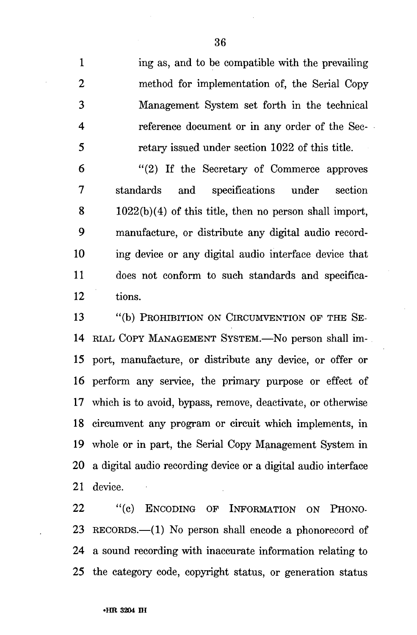1 ing as, and to be compatible with the prevailing 2 method for implementation of, the Serial Copy 3 Management System set forth in the technical 4 reference document or in any order of the Sec-5 retary issued under section 1022 of this title.

6 "(2) If the Secretary of Commerce approves 7 standards and specifications under section  $8 \t 1022(b)(4)$  of this title, then no person shall import, 9 manufacture, or distribute any digital audio record-10 ing device or any digital audio interface device that 11 does not conform to such standards and specifica-12 tions.

13 "(b) PROHIBITION ON CIRCUMVENTION OF THE SE-14 RIAL COPY MANAGEMENT SYSTEM.—No person shall im-15 port, manufacture, or distribute any device, or offer or 16 perform any service, the primary purpose or effect of 17 which is to avoid, bypass, remove, deactivate, or otherwise 18 circumvent any program or circuit which implements, in 19 whole or in part, the Serial Copy Management System in 20 a digital audio recording device or a digital audio interface 21 device.

22 "(c) ENCODING OF INFORMATION ON PHONO-23 RECORDS.—(1) No person shall encode a phonorecord of 24 a sound recording with inaccurate information relating to 25 the category code, copyright status, or generation status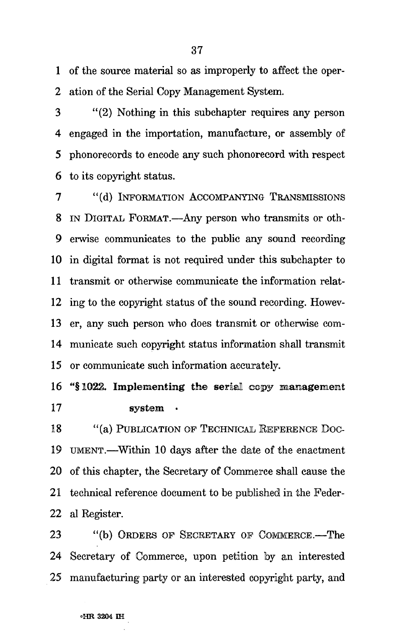1 of the source material so as improperly to affect the oper-2 ation of the Serial Copy Management System.

3 "(2) Nothing in this subchapter requires any person 4 engaged in the importation, manufacture, or assembly of 5 phonorecords to encode any such phonorecord with respect 6 to its copyright status.

7 "(d) INFORMATION ACCOMPANYING TRANSMISSIONS 8 IN DIGITAL FORMAT.—Any person who transmits or oth-9 erwise communicates to the public any sound recording 10 in digital format is not required under this subchapter to 11 transmit or otherwise communicate the information relat-12 ing to the copyright status of the sound recording. Howev-13 er, any such person who does transmit or otherwise com-14 municate such copyright status information shall transmit 15 or communicate such information accurately.

16 "§1022. Implementing the serial copy management 17 system

18 "(a) PUBLICATION OF TECHNICAL REFERENCE DOC-19 UMENT.—Within 10 days after the date of the enactment 20 of this chapter, the Secretary of Commerce shall cause the 21 technical reference document to be published in the Feder-22 al Register.

23 "(b) ORDERS OF SECRETARY OF COMMERCE.—The 24 Secretary of Commerce, upon petition by an interested 25 manufacturing party or an interested copyright party, and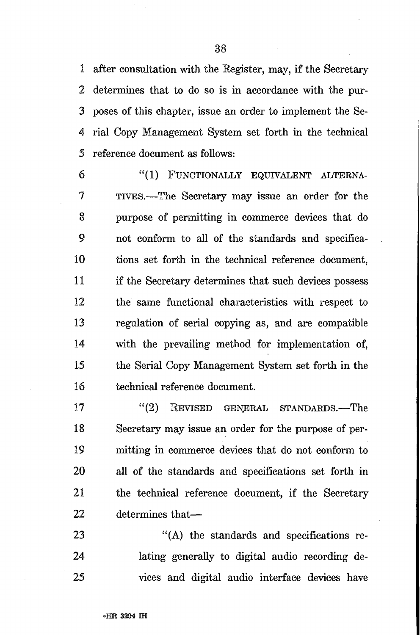1 after consultation with the Register, may, if the Secretary 2 determines that to do so is in accordance with the pur-3 poses of this chapter, issue an order to implement the Se-4 rial Copy Management System set forth in the technical 5 reference document as follows:

6 "(1) FUNCTIONALLY EQUIVALENT ALTERNA-7 TIVES.—The Secretary may issue an order for the 8 purpose of permitting in commerce devices that do 9 not conform to all of the standards and specifica-10 tions set forth in the technical reference document, 11 if the Secretary determines that such devices possess 12 the same functional characteristics with respect to 13 regulation of serial copying as, and are compatible 14 with the prevailing method for implementation of, 15 the Serial Copy Management System set forth in the 16 technical reference document.

17 "(2) REVISED GENERAL STANDARDS.—The 18 Secretary may issue an order for the purpose of per-19 mitting in commerce devices that do not conform to 20 all of the standards and specifications set forth in 21 the technical reference document, if the Secretary 22 determines that—

23 "(A) the standards and specifications re-24 lating generally to digital audio recording de-25 vices and digital audio interface devices have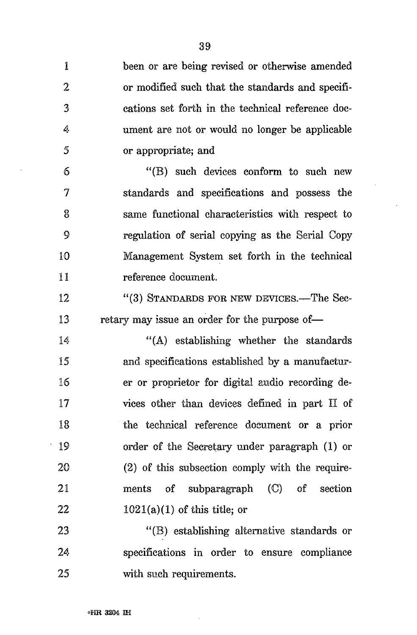1 been or are being revised or otherwise amended 2 or modified such that the standards and specifi-3 cations set forth in the technical reference doc-4 ument are not or would no longer be applicable 5 or appropriate; and 6 "(B) such devices conform to such new 7 standards and specifications and possess the 8 same functional characteristics with respect to *9* regulation of serial copying as the Serial Copy 10 Management System set forth in the technical 11 reference document. 12 "(3) STANDARDS FOR NEW DEVICES.—The Sec-13 retary may issue an order for the purpose of— 14 "(A) establishing whether the standards 15 and specifications established by a manufactur-16 er or proprietor for digital audio recording de-17 vices other than devices defined in part II of 18 the technical reference document or a prior 19 order of the Secretary under paragraph (1) or 20 (2) of this subsection comply with the require-21 ments of subparagraph (C) of section 22  $1021(a)(1)$  of this title; or 23 "(B) establishing alternative standards or

24 specifications in order to ensure compliance 25 with such requirements.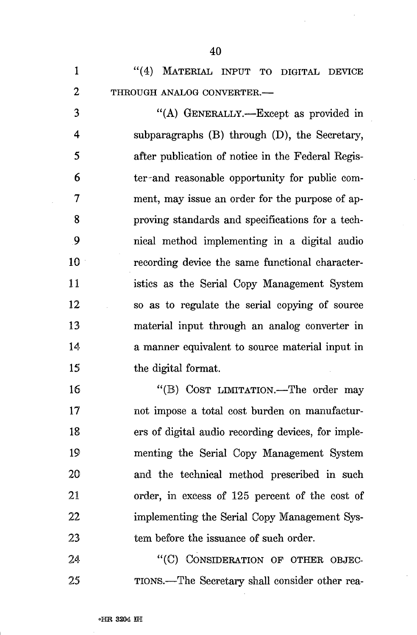1 "(4) MATERIAL INPUT TO DIGITAL DEVICE 2 THROUGH ANALOG CONVERTER.—

3 "(A) GENERALLY.—Except as provided in 4 subparagraphs (B) through (D), the Secretary, 5 after publication of notice in the Federal Kegis-6 ter-and reasonable opportunity for public com-7 ment, may issue an order for the purpose of ap-8 proving standards and specifications for a tech-9 nical method implementing in a digital audio 10 recording device the same functional character-11 istics as the Serial Copy Management System 12 so as to regulate the serial copying of source 13 material input through an analog converter in 14 a manner equivalent to source material input in 15 the digital format.

16 "(B) COST LIMITATION.—The order may 17 not impose a total cost burden on manufactur-18 ers of digital audio recording devices, for imple-19 menting the Serial Copy Management System 20 and the technical method prescribed in such 21 order, in excess of 125 percent of the cost of 22 implementing the Serial Copy Management Sys-23 tem before the issuance of such order.

24 "(C) CONSIDERATION OF OTHER OBJEC-25 TIONS.—The Secretary shall consider other rea-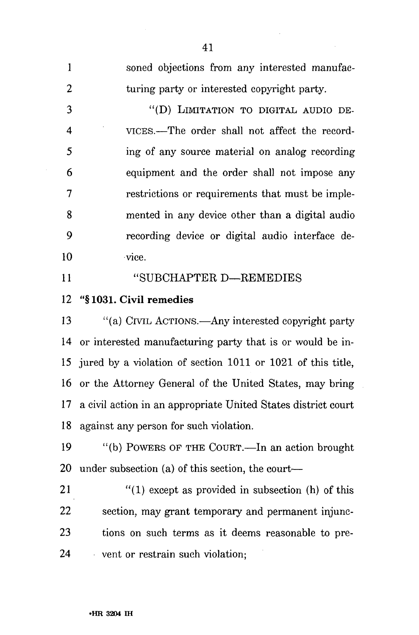| $\mathbf{1}$             | soned objections from any interested manufac-                 |
|--------------------------|---------------------------------------------------------------|
| $\overline{2}$           | turing party or interested copyright party.                   |
| 3                        | "(D) LIMITATION TO DIGITAL AUDIO DE-                          |
| $\overline{\mathcal{A}}$ | VICES.—The order shall not affect the record-                 |
| 5                        | ing of any source material on analog recording                |
| 6                        | equipment and the order shall not impose any                  |
| 7                        | restrictions or requirements that must be imple-              |
| 8                        | mented in any device other than a digital audio               |
| 9                        | recording device or digital audio interface de-               |
| 10                       | vice.                                                         |
| 11                       | "SUBCHAPTER D-REMEDIES                                        |
| 12                       | "§1031. Civil remedies                                        |
| 13                       | "(a) CIVIL ACTIONS.—Any interested copyright party            |
| 14                       | or interested manufacturing party that is or would be in-     |
| 15                       | jured by a violation of section 1011 or 1021 of this title,   |
| 16                       | or the Attorney General of the United States, may bring       |
| 17                       | a civil action in an appropriate United States district court |
| 18                       | against any person for such violation.                        |
| 19                       | "(b) POWERS OF THE COURT.-In an action brought                |
| 20                       | under subsection (a) of this section, the court—              |
| 21                       | $''(1)$ except as provided in subsection (h) of this          |
| 22                       | section, may grant temporary and permanent injunc-            |
| 23                       | tions on such terms as it deems reasonable to pre-            |
| 24                       | vent or restrain such violation;                              |
|                          |                                                               |

41

 $\sim$ 

 $\sim 1$ 

 $\mathcal{L}_{\mathcal{A}}$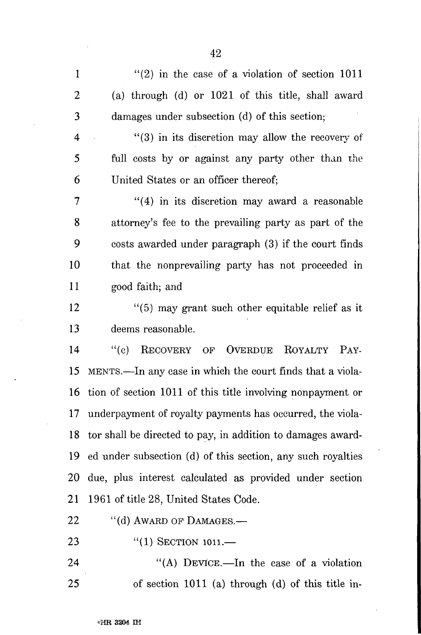1  $\frac{1}{2}$  in the case of a violation of section 1011 2 (a) through (d) or 1021 of this title, shall award 3 damages under subsection (d) of this section;

 $4$  (3) in its discretion may allow the recovery of 5 full costs by or against any party other than the 6 United States or an officer thereof;

7 "(4) in its discretion may award a reasonable 8 attorney's fee to the prevailing party as part of the 9 costs awarded under paragraph (3) if the court finds 10 that the nonprevailing party has not proceeded in 11 good faith; and

12 "(5) may grant such other equitable relief as it 13 deems reasonable.

14 "(c) RECOVERY OP OVERDUE ROYALTY PAY-15 MENTS.—In any case in which the court finds that a viola-16 tion of section 1011 of this title involving nonpayment or 17 underpayment of royalty payments has occurred, the viola-18 tor shall be directed to pay, in addition to damages award-19 ed under subsection (d) of this section, any such royalties 20 due, plus interest calculated as provided under section 21 1961 of title 28, United States Code.

22 "(d) AWARD OF DAMAGES.—

23 "(1) SECTION 1011.

24 "(A) DEVICE.—In the case of a violation 25 of section 1011 (a) through (d) of this title in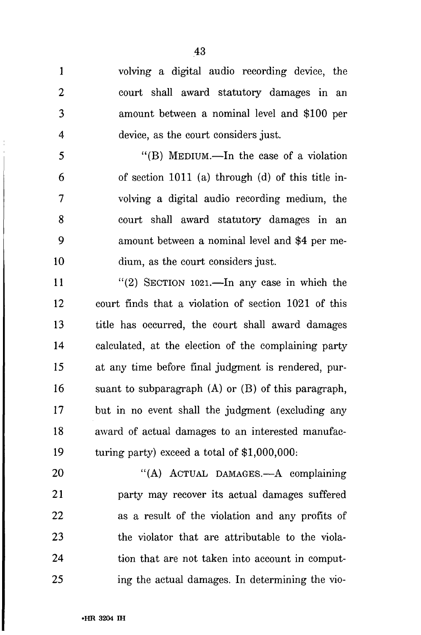43

1 volving a digital audio recording device, the 2 court shall award statutory damages in an 3 amount between a nominal level and \$100 per 4 device, as the court considers just.

5 "(B) MEDIUM.—In the case of a violation 6 of section 1011 (a) through (d) of this title in-7 volving a digital audio recording medium, the 8 court shall award statutory damages in an 9 amount between a nominal level and \$4 per me-10 dium, as the court considers just.

11 "(2) SECTION 1021.—In any case in which the 12 court finds that a violation of section 1021 of this 13 title has occurred, the court shall award damages 14 calculated, at the election of the complaining party 15 at any time before final judgment is rendered, pur-16 suant to subparagraph (A) or (B) of this paragraph, 17 but in no event shall the judgment (excluding any 18 award of actual damages to an interested manufac-19 turing party) exceed a total of \$1,000,000:

20 "(A) ACTUAL DAMAGES.—A complaining 21 party may recover its actual damages suffered 22 as a result of the violation and any profits of 23 the violator that are attributable to the viola-24 tion that are not taken into account in comput-25 ing the actual damages. In determining the vio-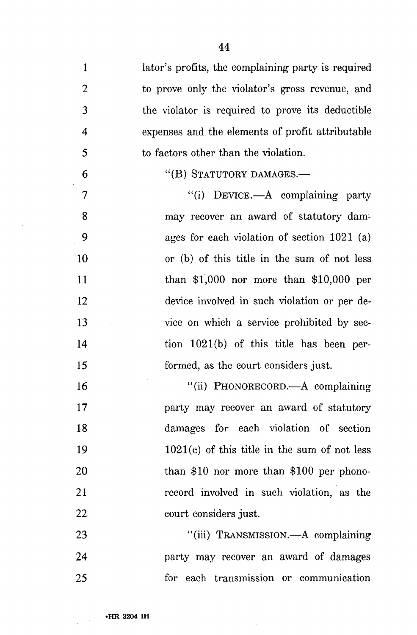$\mathbf{1}$ lator's profits, the complaining party is required  $\overline{2}$ to prove only the violator's gross revenue, and 3 the violator is required to prove its deductible expenses and the elements of profit attributable 4 5 to factors other than the violation. "(B) STATUTORY DAMAGES.— 6 7 "(i) DEVICE.—A complaining party 8 may recover an award of statutory dam- $\overline{Q}$ ages for each violation of section 1021 (a) or (b) of this title in the sum of not less 10  $11$ than \$1,000 nor more than \$10,000 per  $12<sub>1</sub>$ device involved in such violation or per de- $13<sup>°</sup>$ vice on which a service prohibited by sec-14 tion 1021(b) of this title has been per-15 formed, as the court considers just. "(ii) PHONORECORD.—A complaining 16 17 party may recover an award of statutory damages for each violation of section 18 1021(c) of this title in the sum of not less 19 than \$10 nor more than \$100 per phono-20 record involved in such violation, as the 21 22 court considers just. 23 "(iii) TRANSMISSION.—A complaining 24 party may recover an award of damages

for each transmission or communication 25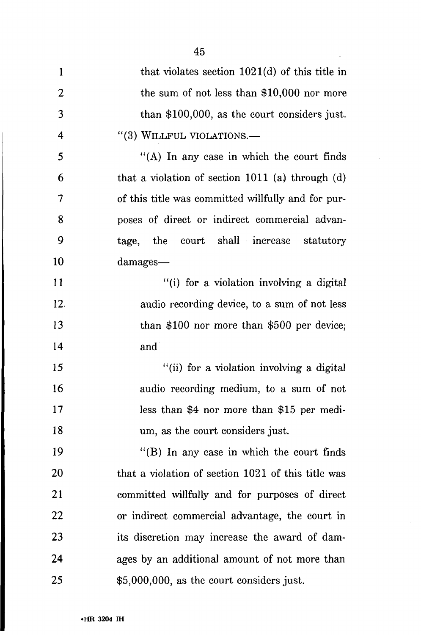| $\mathbf{1}$   | that violates section $1021(d)$ of this title in   |
|----------------|----------------------------------------------------|
| $\overline{2}$ | the sum of not less than $$10,000$ nor more        |
| 3              | than $$100,000$ , as the court considers just.     |
| $\overline{4}$ | "(3) WILLFUL VIOLATIONS.-                          |
| 5              | "(A) In any case in which the court finds          |
| 6              | that a violation of section 1011 (a) through (d)   |
| 7              | of this title was committed willfully and for pur- |
| 8              | poses of direct or indirect commercial advan-      |
| 9              | tage, the court shall increase statutory           |
| 10             | damages—                                           |
| 11             | "(i) for a violation involving a digital           |
| 12.            | audio recording device, to a sum of not less       |
| 13             | than $$100$ nor more than $$500$ per device;       |
| 14             | and                                                |
| 15             | "(ii) for a violation involving a digital          |
| 16             | audio recording medium, to a sum of not            |
| 17             | less than \$4 nor more than \$15 per medi-         |
| 18             | um, as the court considers just.                   |
| 19             | $\lq$ (B) In any case in which the court finds     |
| 20             | that a violation of section 1021 of this title was |
| 21             | committed willfully and for purposes of direct     |
| 22             | or indirect commercial advantage, the court in     |
| 23             | its discretion may increase the award of dam-      |
| 24             | ages by an additional amount of not more than      |
| 25             | $$5,000,000$ , as the court considers just.        |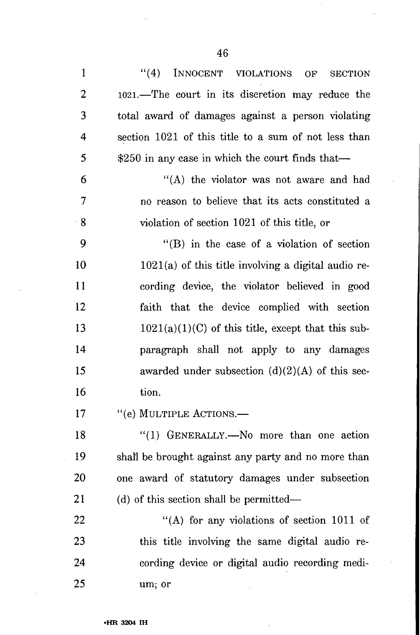$\epsilon$ 

 $\cdot$ 

| 1              | ``(4)<br>INNOCENT VIOLATIONS<br><b>SECTION</b><br>OF  |
|----------------|-------------------------------------------------------|
| $\overline{2}$ | 1021.—The court in its discretion may reduce the      |
| 3              | total award of damages against a person violating     |
| 4              | section 1021 of this title to a sum of not less than  |
| 5              | $$250$ in any case in which the court finds that—     |
| 6              | "(A) the violator was not aware and had               |
| 7              | no reason to believe that its acts constituted a      |
| $\cdot$ 8      | violation of section 1021 of this title, or           |
| 9              | $\lq\lq$ (B) in the case of a violation of section    |
| 10             | $1021(a)$ of this title involving a digital audio re- |
| 11             | cording device, the violator believed in good         |
| 12             | faith that the device complied with section           |
| 13             | $1021(a)(1)(C)$ of this title, except that this sub-  |
| 14             | paragraph shall not apply to any damages              |
| 15             | awarded under subsection $(d)(2)(A)$ of this sec-     |
| 16             | tion.                                                 |
| 17             | "(e) MULTIPLE ACTIONS.-                               |
| 18             | "(1) GENERALLY.—No more than one action               |
| 19             | shall be brought against any party and no more than   |
| <b>20</b>      | one award of statutory damages under subsection       |
| 21             | (d) of this section shall be permitted—               |
| 22             | "(A) for any violations of section 1011 of            |
| 23             | this title involving the same digital audio re-       |
| 24             | cording device or digital audio recording medi-       |
| 25             | um; or                                                |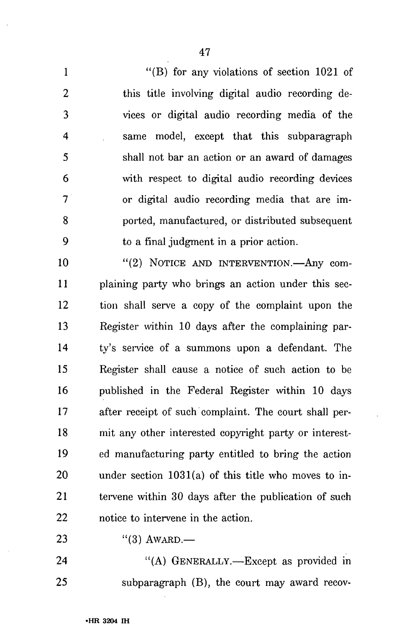1 "(B) for any violations of section 1021 of 2 this title involving digital audio recording de-3 vices or digital audio recording media of the 4 same model, except that this subparagraph 5 shall not bar an action or an award of damages 6 with respect to digital audio recording devices 7 or digital audio recording media that are im-8 ported, manufactured, or distributed subsequent 9 to a final judgment in a prior action.

10 "(2) NOTICE AND INTERVENTION.—Any com-11 plaining party who brings an action under this sec-12 tion shall serve a copy of the complaint upon the 13 Register within 10 days after the complaining par-14 ty's service of a summons upon a defendant. The 15 Register shall cause a notice of such action to be 16 published in the Federal Register within 10 days 17 after receipt of such complaint. The court shall per-18 mit any other interested copyright party or interest-19 ed manufacturing party entitled to bring the action 20 under section 1031(a) of this title who moves to in-21 tervene within 30 days after the publication of such 22 notice to intervene in the action.

23 "(3)  $AWARD.$ —

24 "(A) GENERALLY.—Except as provided in 25 subparagraph (B), the court may award recov-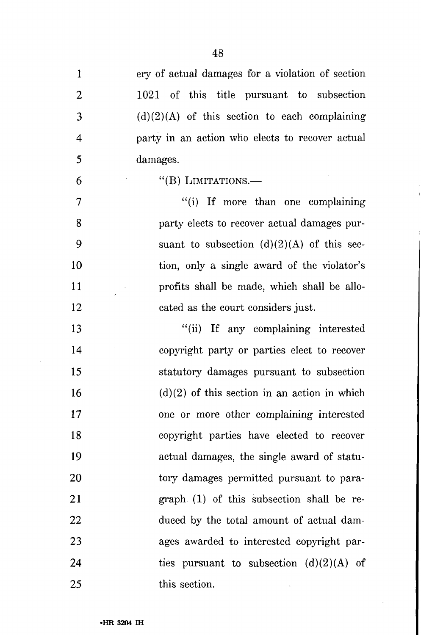| $\mathbf{1}$   | ery of actual damages for a violation of section |
|----------------|--------------------------------------------------|
| $\overline{2}$ | 1021 of this title pursuant to subsection        |
| 3              | $(d)(2)(A)$ of this section to each complaining  |
| 4              | party in an action who elects to recover actual  |
| 5              | damages.                                         |
| 6              | "(B) LIMITATIONS. $-$                            |
| 7              | "(i) If more than one complaining                |
| 8              | party elects to recover actual damages pur-      |
| 9              | suant to subsection $(d)(2)(A)$ of this sec-     |
| 10             | tion, only a single award of the violator's      |
| 11             | profits shall be made, which shall be allo-      |
| 12             | cated as the court considers just.               |
| 13             | "(ii) If any complaining interested              |
| 14             | copyright party or parties elect to recover      |
| 15             | statutory damages pursuant to subsection         |
| 16             | $(d)(2)$ of this section in an action in which   |
| 17             | one or more other complaining interested         |
| 18             | copyright parties have elected to recover        |
| 19             | actual damages, the single award of statu-       |
| 20             | tory damages permitted pursuant to para-         |
| 21             | graph (1) of this subsection shall be re-        |
| 22             | duced by the total amount of actual dam-         |
| 23             | ages awarded to interested copyright par-        |
| 24             | ties pursuant to subsection $(d)(2)(A)$ of       |
| 25             | this section.                                    |

J.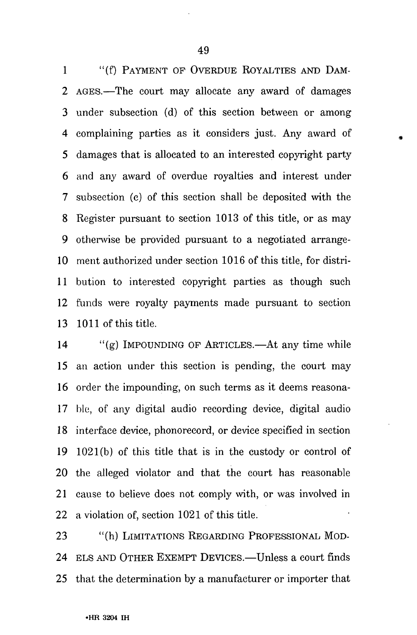1 "(f) PAYMENT OF OVERDUE ROYALTIES AND DAM-2 AGES.—The court may allocate any award of damages 3 under subsection (d) of this section between or among 4 complaining parties as it considers just. Any award of 5 damages that is allocated to an interested copyright party 6 and any award of overdue royalties and interest under 7 subsection (c) of this section shall be deposited with the 8 Register pursuant to section 1013 of this title, or as may 9 otherwise be provided pursuant to a negotiated arrange-10 ment authorized under section 1016 of this title, for distri-11 bution to interested copyright parties as though such 12 funds were royalty payments made pursuant to section 13 1011 of this title.

14 "(g) IMPOUNDING OF ARTICLES.—At any time while 15 an action under this section is pending, the court may 16 order the impounding, on such terms as it deems reasona-17 hie, of any digital audio recording device, digital audio 18 interface device, phonorecord, or device specified in section 19 1021(b) of this title that is in the custody or control of 20 the alleged violator and that the court has reasonable 21 cause to believe does not comply with, or was involved in 22 a violation of, section 1021 of this title.

23 "(h) LIMITATIONS REGARDING PROFESSIONAL MOD-24 ELS AND OTHER EXEMPT DEVICES.—Unless a court finds 25 that the determination by a manufacturer or importer that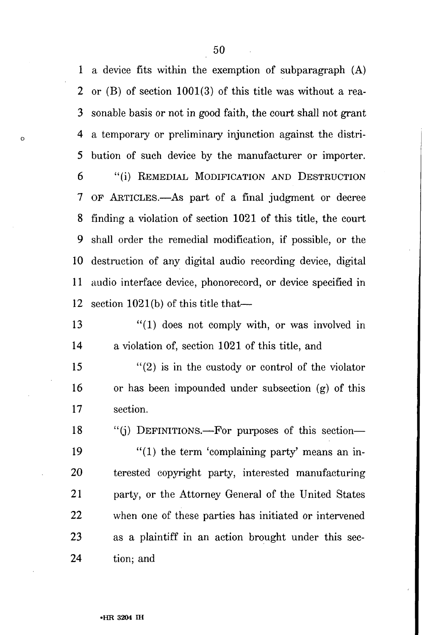1 a device fits within the exemption of subparagraph (A) 2 or (B) of section 1001(3) of this title was without a rea-3 sonable basis or not in good faith, the court shall not grant 4 a temporary or preliminary injunction against the distri-5 bution of such device by the manufacturer or importer. 6 "(i) REMEDIAL MODIFICATION AND DESTRUCTION 7 OF ARTICLES.—As part of a final judgment or decree 8 finding a violation of section 1021 of this title, the court 9 shall order the remedial modification, if possible, or the 10 destruction of any digital audio recording device, digital 11 audio interface device, phonorecord, or device specified in

12 section 1021(b) of this title that—

 $\circ$ 

13 "(1) does not comply with, or was involved in 14 a violation of, section 1021 of this title, and

15 "(2) is in the custody or control of the violator 16 or has been impounded under subsection (g) of this 17 section.

18 "(j) DEFINITIONS.—For purposes of this section—

19  $\frac{1}{2}$  (1) the term 'complaining party' means an in-20 terested copyright party, interested manufacturing 21 party, or the Attorney General of the United States 22 when one of these parties has initiated or intervened 23 as a plaintiff in an action brought under this sec-24 tion; and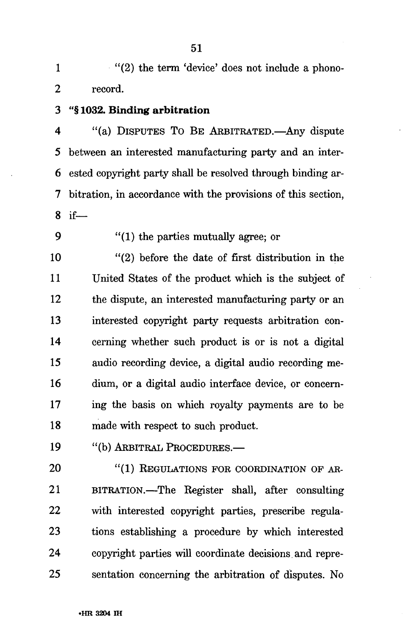1 "(2) the term 'device' does not include a phono-2 record.

3 "§ 1032. Binding arbitration

4 "(a) DISPUTES TO BE ARBITRATED.—Any dispute 5 between an interested manufacturing party and an inter-6 ested copyright party shall be resolved through binding ar-7 bitration, in accordance with the provisions of this section, 8 if—

9 "(1) the parties mutually agree; or

10 "(2) before the date of first distribution in the 11 United States of the product which is the subject of 12 the dispute, an interested manufacturing party or an 13 interested copyright party requests arbitration con-14 cerning whether such product is or is not a digital 15 audio recording device, a digital audio recording me-16 dium, or a digital audio interface device, or concern-17 ing the basis on which royalty payments are to be 18 made with respect to such product.

19 "(b) ARBITRAL PROCEDURES.—

20 "(1) REGULATIONS FOR COORDINATION OF AR-21 BITRATION.—The Register shall, after consulting 22 with interested copyright parties, prescribe regula-23 tions establishing a procedure by which interested 24 copyright parties will coordinate decisions, and repre-25 sentation concerning the arbitration of disputes. No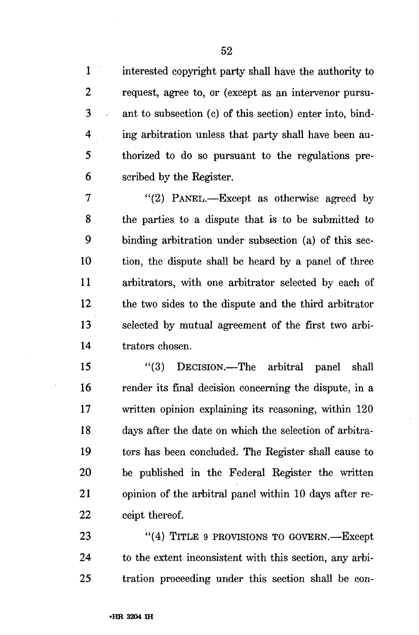1 interested copyright party shall have the authority to 2 request, agree to, or (except as an intervenor pursu-3 ant to subsection (c) of this section) enter into, bind-4 ing arbitration unless that party shall have been au-5 thorized to do so pursuant to the regulations pre-6 scribed by the Kegister.

7 "(2) PANEL.—Except as otherwise agreed by 8 the parties to a dispute that is to be submitted to 9 binding arbitration under subsection (a) of this sec-10 tion, the dispute shall be heard by a panel of three 11 arbitrators, with one arbitrator selected by each of 12 the two sides to the dispute and the third arbitrator 13 selected by mutual agreement of the first two arbi-14 trators chosen.

15 "(3) DECISION.—The arbitral panel shall 16 render its final decision concerning the dispute, in a 17 written opinion explaining its reasoning, within 120 18 days after the date on which the selection of arbitra-19 tors has been concluded. The Register shall cause to 20 be published in the Federal Register the written 21 opinion of the arbitral panel within 10 days after re-22 ceipt thereof.

23 "(4) TITLE 9 PROVISIONS TO GOVERN.—Except 24 to the extent inconsistent with this section, any arbi-25 tration proceeding under this section shall be con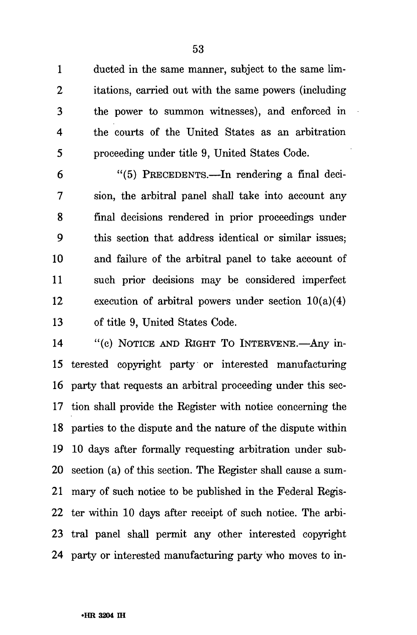1 ducted in the same manner, subject to the same lim-2 itations, carried out with the same powers (including 3 the power to summon witnesses), and enforced in 4 the courts of the United States as an arbitration 5 proceeding under title 9, United States Code.

6 "(5) PRECEDENTS.—In rendering a final deci-7 sion, the arbitral panel shall take into account any 8 final decisions rendered in prior proceedings under 9 this section that address identical or similar issues; 10 and failure of the arbitral panel to take account of 11 such prior decisions may be considered imperfect 12 execution of arbitral powers under section 10(a)(4) 13 of title 9, United States Code.

14 "(c) NOTICE AND RIGHT TO INTERVENE.—Any in-15 terested copyright party or interested manufacturing 16 party that requests an arbitral proceeding under this sec-17 tion shall provide the Register with notice concerning the 18 parties to the dispute and the nature of the dispute within 19 10 days after formally requesting arbitration under sub-20 section (a) of this section. The Register shall cause a sum-21 mary of such notice to be published in the Federal Regis-22 ter within 10 days after receipt of such notice. The arbi-23 tral panel shall permit any other interested copyright 24 party or interested manufacturing party who moves to in-

53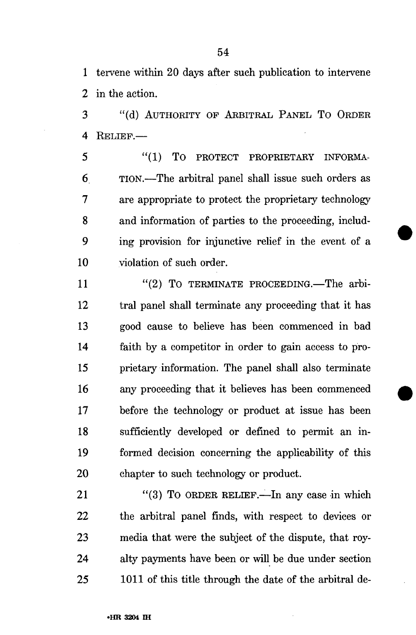1 tervene within 20 days after such publication to intervene 2 in the action.

3 "(d) AUTHORITY OP ARBITRAL PANEL TO ORDER 4 RELIEF.—

5 "(1) To PROTECT PROPRIETARY INFORMA-6 TION.—The arbitral panel shall issue such orders as 7 are appropriate to protect the proprietary technology 8 and information of parties to the proceeding, includ-9 ing provision for injunctive relief in the event of a 10 violation of such order.

11 "(2) To TERMINATE PROCEEDING.—The arbi-12 tral panel shall terminate any proceeding that it has 13 good cause to believe has been commenced in bad 14 faith by a competitor in order to gain access to pro-15 prietary information. The panel shall also terminate 16 any proceeding that it believes has been commenced 17 before the technology or product at issue has been 18 sufficiently developed or defined to permit an in-19 formed decision concerning the applicability of this 20 chapter to such technology or product.

21 "(3) To ORDER RELIEF.—In any case in which 22 the arbitral panel finds, with respect to devices or 23 media that were the subject of the dispute, that roy-24 alty payments have been or will be due under section 25 1011 of this title through the date of the arbitral de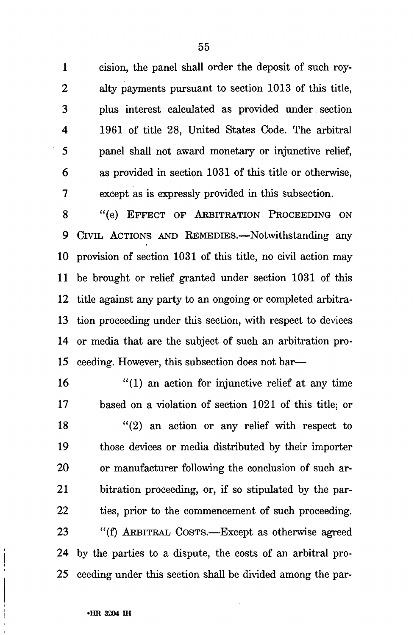1 cision, the panel shall order the deposit of such roy-2 alty payments pursuant to section 1013 of this title, 3 plus interest calculated as provided under section 4 1961 of title 28, United States Code. The arbitral 5 panel shall not award monetary or injunctive relief, 6 as provided in section 1031 of this title or otherwise, 7 except as is expressly provided in this subsection.

8 "(e) EFFECT OF ARBITRATION PROCEEDING ON 9 CIVIL ACTIONS AND REMEDIES.—Notwithstanding any 10 provision of section 1031 of this title, no civil action may 11 be brought or relief granted under section 1031 of this 12 title against any party to an ongoing or completed arbitra-13 tion proceeding under this section, with respect to devices 14 or media that are the subject of such an arbitration pro-15 ceeding. However, this subsection does not bar—

16 "(1) an action for injunctive relief at any time 17 based on a violation of section 1021 of this title; or 18 "(2) an action or any relief with respect to 19 those devices or media distributed by their importer 20 or manufacturer following the conclusion of such ar-21 bitration proceeding, or, if so stipulated by the par-22 ties, prior to the commencement of such proceeding. 23 "(f) ARBITRAL COSTS.—Except as otherwise agreed 24 by the parties to a dispute, the costs of an arbitral pro-25 ceeding under this section shall be divided among the par-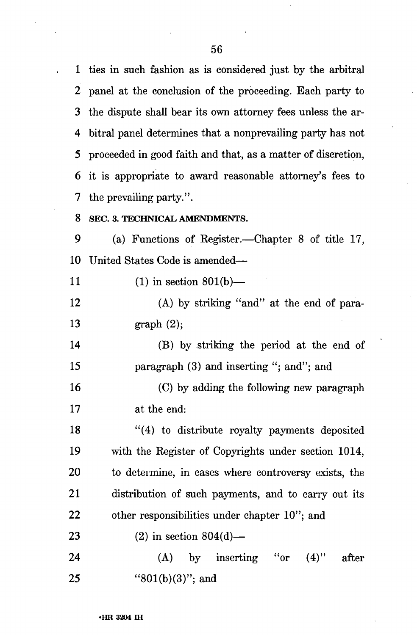1 ties in such fashion as is considered just by the arbitral 2 panel at the conclusion of the proceeding. Each party to 3 the dispute shall bear its own attorney fees unless the ar-4 bitral panel determines that a nonprevailing party has not 5 proceeded in good faith and that, as a matter of discretion, 6 it is appropriate to award reasonable attorney's fees to 7 the prevailing party.".

**8 SEC. 3. TECHNICAL AMENDMENTS.** 

9 (a) Functions of Register.—Chapter 8 of title 17, 10 United States Code is amended—

11 (1) in section 801(b)—

12 (A) by striking "and" at the end of para-13 graph (2);

14 (B) by striking the period at the end of 15 paragraph (3) and inserting "; and"; and

16 (C) by adding the following new paragraph 17 at the end:

18 "(4) to distribute royalty payments deposited 19 with the Register of Copyrights under section 1014, 20 to determine, in cases where controversy exists, the 21 distribution of such payments, and to carry out its 22 other responsibilities under chapter 10"; and

23 (2) in section  $804(d)$ —

24 (A) by inserting "or (4)" after 25 "801(b)(3)"; and